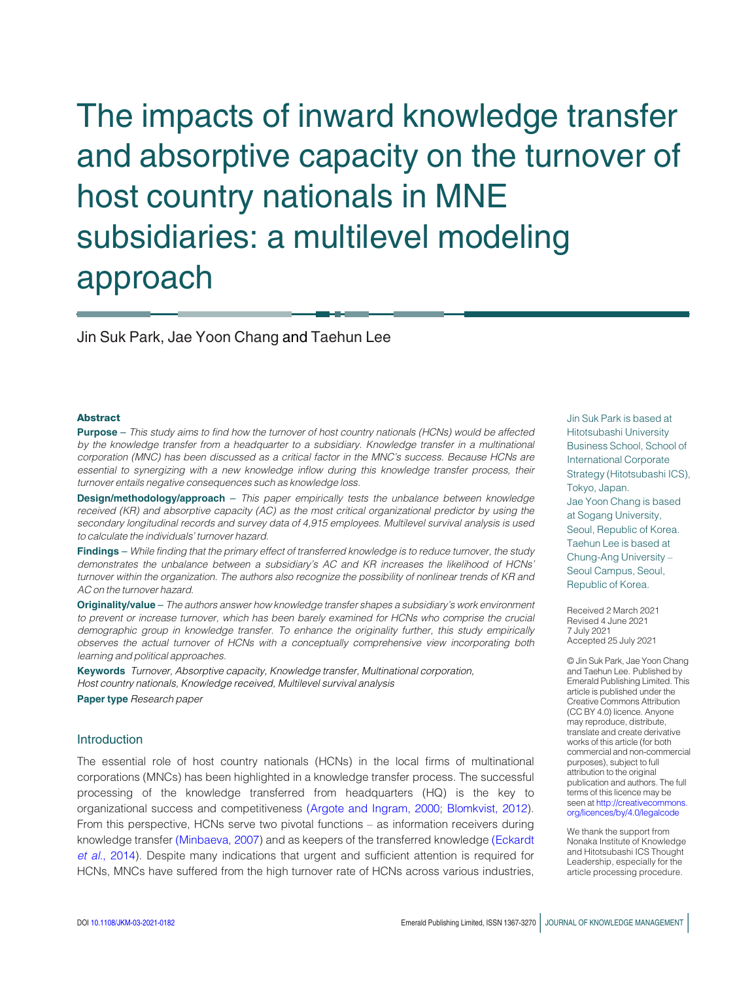The impacts of inward knowledge transfer and absorptive capacity on the turnover of host country nationals in MNE subsidiaries: a multilevel modeling approach

Jin Suk Park, Jae Yoon Chang and Taehun Lee

#### Abstract

**Purpose** – This study aims to find how the turnover of host country nationals (HCNs) would be affected by the knowledge transfer from a headquarter to a subsidiary. Knowledge transfer in a multinational corporation (MNC) has been discussed as a critical factor in the MNC's success. Because HCNs are essential to synergizing with a new knowledge inflow during this knowledge transfer process, their turnover entails negative consequences such as knowledge loss.

**Design/methodology/approach** - This paper empirically tests the unbalance between knowledge received (KR) and absorptive capacity (AC) as the most critical organizational predictor by using the secondary longitudinal records and survey data of 4,915 employees. Multilevel survival analysis is used to calculate the individuals' turnover hazard.

Findings – While finding that the primary effect of transferred knowledge is to reduce turnover, the study demonstrates the unbalance between a subsidiary's AC and KR increases the likelihood of HCNs' turnover within the organization. The authors also recognize the possibility of nonlinear trends of KR and AC on the turnover hazard.

Originality/value – The authors answer how knowledge transfer shapes a subsidiary's work environment to prevent or increase turnover, which has been barely examined for HCNs who comprise the crucial demographic group in knowledge transfer. To enhance the originality further, this study empirically observes the actual turnover of HCNs with a conceptually comprehensive view incorporating both learning and political approaches.

Keywords Turnover, Absorptive capacity, Knowledge transfer, Multinational corporation, Host country nationals, Knowledge received, Multilevel survival analysis Paper type Research paper

# Introduction

The essential role of host country nationals (HCNs) in the local firms of multinational corporations (MNCs) has been highlighted in a knowledge transfer process. The successful processing of the knowledge transferred from headquarters (HQ) is the key to organizational success and competitiveness [\(Argote and Ingram, 2000](#page-15-0); [Blomkvist, 2012\)](#page-16-0). From this perspective, HCNs serve two pivotal functions – as information receivers during knowledge transfer [\(Minbaeva, 2007](#page-18-0)) and as keepers of the transferred knowledge [\(Eckardt](#page-16-1) et al.[, 2014](#page-16-1)). Despite many indications that urgent and sufficient attention is required for HCNs, MNCs have suffered from the high turnover rate of HCNs across various industries,

Jin Suk Park is based at Hitotsubashi University Business School, School of International Corporate Strategy (Hitotsubashi ICS), Tokyo, Japan. Jae Yoon Chang is based at Sogang University, Seoul, Republic of Korea. Taehun Lee is based at Chung-Ang University – Seoul Campus, Seoul, Republic of Korea.

Received 2 March 2021 Revised 4 June 2021 7 July 2021 Accepted 25 July 2021

© Jin Suk Park, Jae Yoon Chang and Taehun Lee. Published by Emerald Publishing Limited. This article is published under the Creative Commons Attribution (CC BY 4.0) licence. Anyone may reproduce, distribute, translate and create derivative works of this article (for both commercial and non-commercial purposes), subject to full attribution to the original publication and authors. The full terms of this licence may be seen at [http://creativecommons.](http://creativecommons.org/licences/by/4.0/legalcode) [org/licences/by/4.0/legalcode](http://creativecommons.org/licences/by/4.0/legalcode)

We thank the support from Nonaka Institute of Knowledge and Hitotsubashi ICS Thought Leadership, especially for the article processing procedure.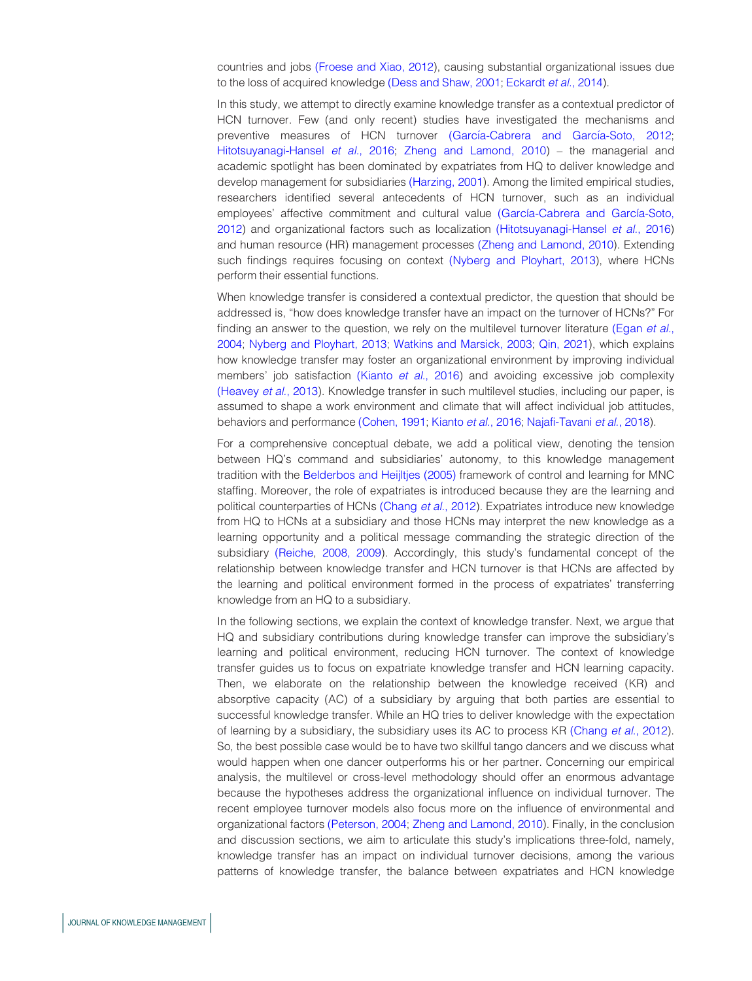countries and jobs [\(Froese and Xiao, 2012](#page-17-0)), causing substantial organizational issues due to the loss of acquired knowledge [\(Dess and Shaw, 2001](#page-16-2); [Eckardt](#page-16-1) et al., 2014).

In this study, we attempt to directly examine knowledge transfer as a contextual predictor of HCN turnover. Few (and only recent) studies have investigated the mechanisms and preventive measures of HCN turnover (García-Cabrera and García-Soto, 2012; [Hitotsuyanagi-Hansel](#page-17-2) et al., 2016; [Zheng and Lamond, 2010](#page-20-0)) – the managerial and academic spotlight has been dominated by expatriates from HQ to deliver knowledge and develop management for subsidiaries [\(Harzing, 2001](#page-17-3)). Among the limited empirical studies, researchers identified several antecedents of HCN turnover, such as an individual employees' affective commitment and cultural value (García-Cabrera and García-Soto, [2012\)](#page-17-1) and organizational factors such as localization [\(Hitotsuyanagi-Hansel](#page-17-2) et al., 2016) and human resource (HR) management processes [\(Zheng and Lamond, 2010\)](#page-20-0). Extending such findings requires focusing on context [\(Nyberg and Ployhart, 2013\)](#page-19-0), where HCNs perform their essential functions.

When knowledge transfer is considered a contextual predictor, the question that should be addressed is, "how does knowledge transfer have an impact on the turnover of HCNs?" For finding an answer to the question, we rely on the multilevel turnover literature [\(Egan](#page-17-4) et al., [2004;](#page-17-4) [Nyberg and Ployhart, 2013](#page-19-0); [Watkins and Marsick, 2003](#page-20-1); [Qin, 2021](#page-19-1)), which explains how knowledge transfer may foster an organizational environment by improving individual members' job satisfaction [\(Kianto](#page-18-1) et al., 2016) and avoiding excessive job complexity [\(Heavey](#page-17-5) et al., 2013). Knowledge transfer in such multilevel studies, including our paper, is assumed to shape a work environment and climate that will affect individual job attitudes, behaviors and performance [\(Cohen, 1991](#page-16-3); [Kianto](#page-18-1) et al., 2016; [Najafi-Tavani](#page-19-2) et al., 2018).

For a comprehensive conceptual debate, we add a political view, denoting the tension between HQ's command and subsidiaries' autonomy, to this knowledge management tradition with the [Belderbos and Heijltjes \(2005\)](#page-16-4) framework of control and learning for MNC staffing. Moreover, the role of expatriates is introduced because they are the learning and political counterparties of HCNs [\(Chang](#page-16-5) et al., 2012). Expatriates introduce new knowledge from HQ to HCNs at a subsidiary and those HCNs may interpret the new knowledge as a learning opportunity and a political message commanding the strategic direction of the subsidiary [\(Reiche](#page-19-3), [2008, 2009\)](#page-19-4). Accordingly, this study's fundamental concept of the relationship between knowledge transfer and HCN turnover is that HCNs are affected by the learning and political environment formed in the process of expatriates' transferring knowledge from an HQ to a subsidiary.

In the following sections, we explain the context of knowledge transfer. Next, we argue that HQ and subsidiary contributions during knowledge transfer can improve the subsidiary's learning and political environment, reducing HCN turnover. The context of knowledge transfer guides us to focus on expatriate knowledge transfer and HCN learning capacity. Then, we elaborate on the relationship between the knowledge received (KR) and absorptive capacity (AC) of a subsidiary by arguing that both parties are essential to successful knowledge transfer. While an HQ tries to deliver knowledge with the expectation of learning by a subsidiary, the subsidiary uses its AC to process KR [\(Chang](#page-16-5) et al., 2012). So, the best possible case would be to have two skillful tango dancers and we discuss what would happen when one dancer outperforms his or her partner. Concerning our empirical analysis, the multilevel or cross-level methodology should offer an enormous advantage because the hypotheses address the organizational influence on individual turnover. The recent employee turnover models also focus more on the influence of environmental and organizational factors [\(Peterson, 2004;](#page-19-5) [Zheng and Lamond, 2010\)](#page-20-0). Finally, in the conclusion and discussion sections, we aim to articulate this study's implications three-fold, namely, knowledge transfer has an impact on individual turnover decisions, among the various patterns of knowledge transfer, the balance between expatriates and HCN knowledge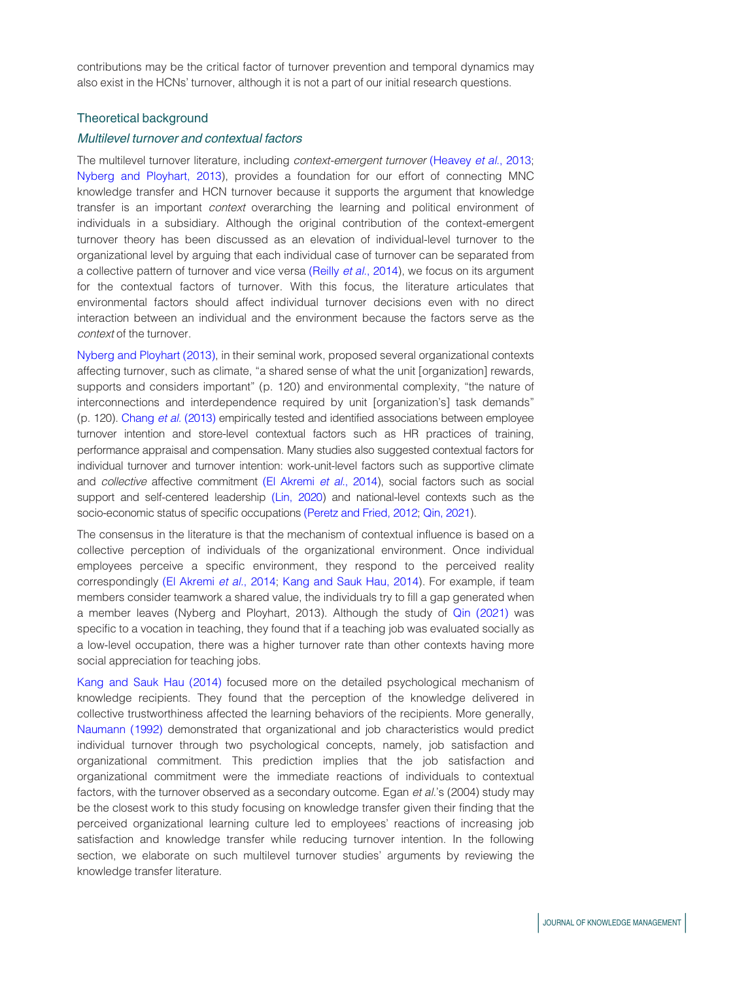contributions may be the critical factor of turnover prevention and temporal dynamics may also exist in the HCNs' turnover, although it is not a part of our initial research questions.

## Theoretical background

## Multilevel turnover and contextual factors

The multilevel turnover literature, including context-emergent turnover [\(Heavey](#page-17-5) et al., 2013; [Nyberg and Ployhart, 2013](#page-19-0)), provides a foundation for our effort of connecting MNC knowledge transfer and HCN turnover because it supports the argument that knowledge transfer is an important context overarching the learning and political environment of individuals in a subsidiary. Although the original contribution of the context-emergent turnover theory has been discussed as an elevation of individual-level turnover to the organizational level by arguing that each individual case of turnover can be separated from a collective pattern of turnover and vice versa (Reilly et al.[, 2014](#page-19-6)), we focus on its argument for the contextual factors of turnover. With this focus, the literature articulates that environmental factors should affect individual turnover decisions even with no direct interaction between an individual and the environment because the factors serve as the context of the turnover.

[Nyberg and Ployhart \(2013\)](#page-19-0), in their seminal work, proposed several organizational contexts affecting turnover, such as climate, "a shared sense of what the unit [organization] rewards, supports and considers important" (p. 120) and environmental complexity, "the nature of interconnections and interdependence required by unit [organization's] task demands" (p. 120). [Chang](#page-16-6) et al. (2013) empirically tested and identified associations between employee turnover intention and store-level contextual factors such as HR practices of training, performance appraisal and compensation. Many studies also suggested contextual factors for individual turnover and turnover intention: work-unit-level factors such as supportive climate and collective affective commitment [\(El Akremi](#page-17-6) et al., 2014), social factors such as social support and self-centered leadership [\(Lin, 2020](#page-18-2)) and national-level contexts such as the socio-economic status of specific occupations [\(Peretz and Fried, 2012](#page-19-7); [Qin, 2021](#page-19-1)).

The consensus in the literature is that the mechanism of contextual influence is based on a collective perception of individuals of the organizational environment. Once individual employees perceive a specific environment, they respond to the perceived reality correspondingly [\(El Akremi](#page-17-6) et al., 2014; [Kang and Sauk Hau, 2014](#page-18-3)). For example, if team members consider teamwork a shared value, the individuals try to fill a gap generated when a member leaves (Nyberg and Ployhart, 2013). Although the study of [Qin \(2021\)](#page-19-1) was specific to a vocation in teaching, they found that if a teaching job was evaluated socially as a low-level occupation, there was a higher turnover rate than other contexts having more social appreciation for teaching jobs.

[Kang and Sauk Hau \(2014\)](#page-18-3) focused more on the detailed psychological mechanism of knowledge recipients. They found that the perception of the knowledge delivered in collective trustworthiness affected the learning behaviors of the recipients. More generally, [Naumann \(1992\)](#page-19-8) demonstrated that organizational and job characteristics would predict individual turnover through two psychological concepts, namely, job satisfaction and organizational commitment. This prediction implies that the job satisfaction and organizational commitment were the immediate reactions of individuals to contextual factors, with the turnover observed as a secondary outcome. Egan et al.'s (2004) study may be the closest work to this study focusing on knowledge transfer given their finding that the perceived organizational learning culture led to employees' reactions of increasing job satisfaction and knowledge transfer while reducing turnover intention. In the following section, we elaborate on such multilevel turnover studies' arguments by reviewing the knowledge transfer literature.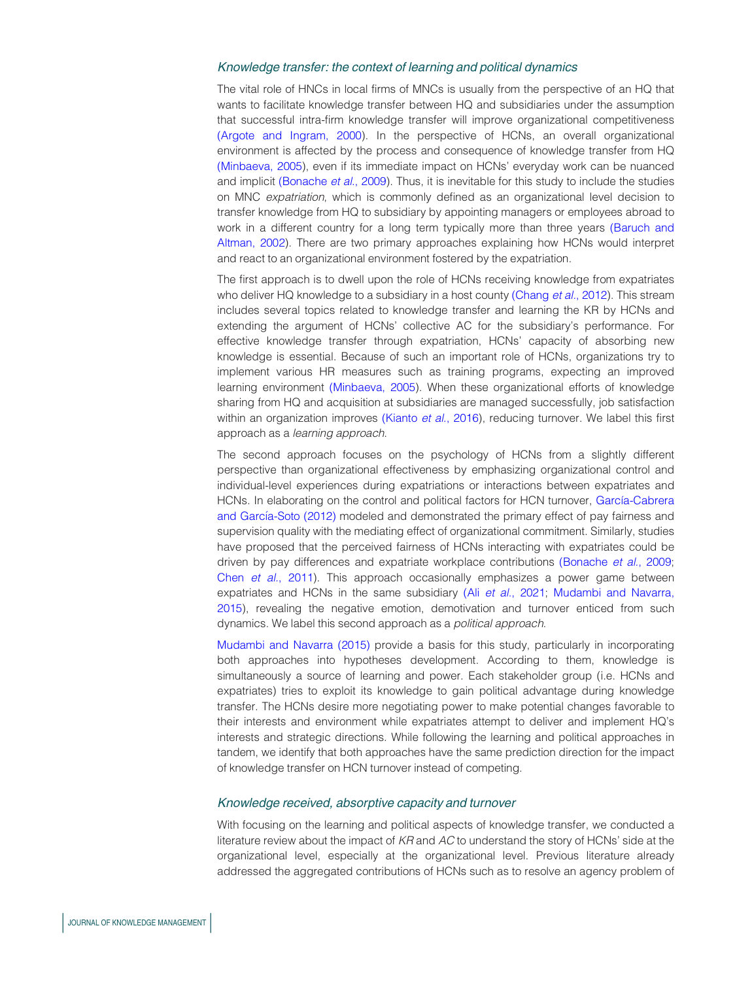#### Knowledge transfer: the context of learning and political dynamics

The vital role of HNCs in local firms of MNCs is usually from the perspective of an HQ that wants to facilitate knowledge transfer between HQ and subsidiaries under the assumption that successful intra-firm knowledge transfer will improve organizational competitiveness [\(Argote and Ingram, 2000](#page-15-0)). In the perspective of HCNs, an overall organizational environment is affected by the process and consequence of knowledge transfer from HQ [\(Minbaeva, 2005](#page-18-4)), even if its immediate impact on HCNs' everyday work can be nuanced and implicit [\(Bonache](#page-16-7) et al., 2009). Thus, it is inevitable for this study to include the studies on MNC expatriation, which is commonly defined as an organizational level decision to transfer knowledge from HQ to subsidiary by appointing managers or employees abroad to work in a different country for a long term typically more than three years [\(Baruch and](#page-15-1) [Altman, 2002\)](#page-15-1). There are two primary approaches explaining how HCNs would interpret and react to an organizational environment fostered by the expatriation.

The first approach is to dwell upon the role of HCNs receiving knowledge from expatriates who deliver HQ knowledge to a subsidiary in a host county [\(Chang](#page-16-5) et al., 2012). This stream includes several topics related to knowledge transfer and learning the KR by HCNs and extending the argument of HCNs' collective AC for the subsidiary's performance. For effective knowledge transfer through expatriation, HCNs' capacity of absorbing new knowledge is essential. Because of such an important role of HCNs, organizations try to implement various HR measures such as training programs, expecting an improved learning environment [\(Minbaeva, 2005\)](#page-18-4). When these organizational efforts of knowledge sharing from HQ and acquisition at subsidiaries are managed successfully, job satisfaction within an organization improves [\(Kianto](#page-18-1) et al., 2016), reducing turnover. We label this first approach as a learning approach.

The second approach focuses on the psychology of HCNs from a slightly different perspective than organizational effectiveness by emphasizing organizational control and individual-level experiences during expatriations or interactions between expatriates and HCNs. In elaborating on the control and political factors for HCN turnover, García-Cabrera and García-Soto (2012) modeled and demonstrated the primary effect of pay fairness and supervision quality with the mediating effect of organizational commitment. Similarly, studies have proposed that the perceived fairness of HCNs interacting with expatriates could be driven by pay differences and expatriate workplace contributions [\(Bonache](#page-16-7) et al., 2009; Chen et al.[, 2011\)](#page-16-8). This approach occasionally emphasizes a power game between expatriates and HCNs in the same subsidiary (Ali et al.[, 2021;](#page-15-2) [Mudambi and Navarra,](#page-18-5) [2015\)](#page-18-5), revealing the negative emotion, demotivation and turnover enticed from such dynamics. We label this second approach as a political approach.

[Mudambi and Navarra \(2015\)](#page-18-5) provide a basis for this study, particularly in incorporating both approaches into hypotheses development. According to them, knowledge is simultaneously a source of learning and power. Each stakeholder group (i.e. HCNs and expatriates) tries to exploit its knowledge to gain political advantage during knowledge transfer. The HCNs desire more negotiating power to make potential changes favorable to their interests and environment while expatriates attempt to deliver and implement HQ's interests and strategic directions. While following the learning and political approaches in tandem, we identify that both approaches have the same prediction direction for the impact of knowledge transfer on HCN turnover instead of competing.

### Knowledge received, absorptive capacity and turnover

With focusing on the learning and political aspects of knowledge transfer, we conducted a literature review about the impact of  $KR$  and  $AC$  to understand the story of HCNs' side at the organizational level, especially at the organizational level. Previous literature already addressed the aggregated contributions of HCNs such as to resolve an agency problem of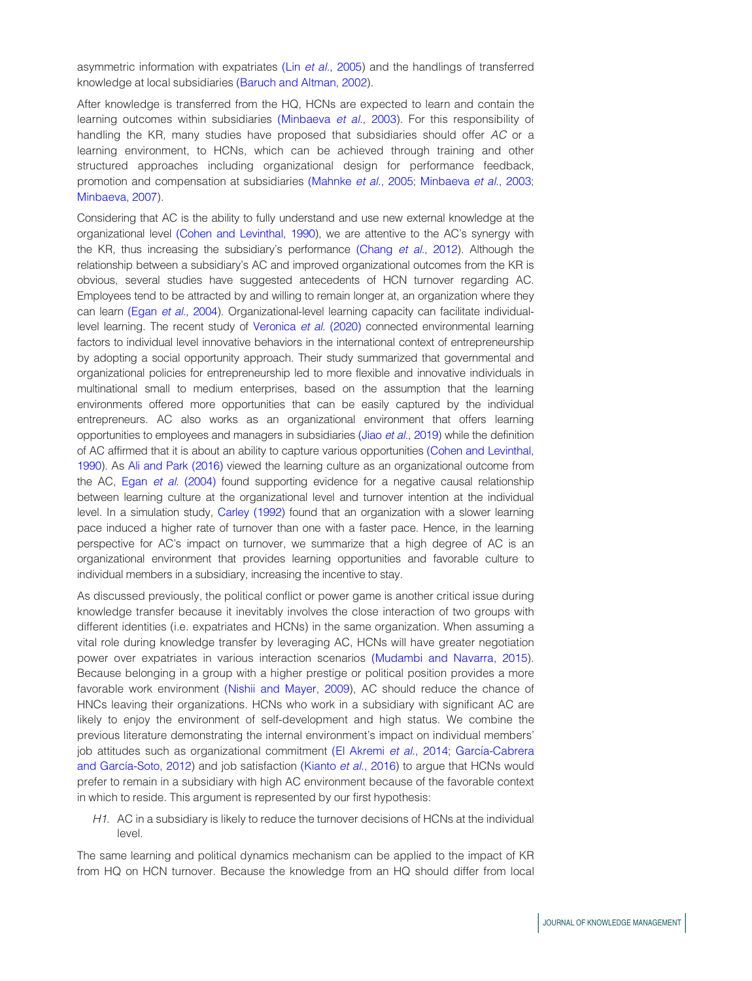asymmetric information with expatriates (Lin et al.[, 2005](#page-18-6)) and the handlings of transferred knowledge at local subsidiaries [\(Baruch and Altman, 2002](#page-15-1)).

After knowledge is transferred from the HQ, HCNs are expected to learn and contain the learning outcomes within subsidiaries [\(Minbaeva](#page-18-7) et al., 2003). For this responsibility of handling the KR, many studies have proposed that subsidiaries should offer AC or a learning environment, to HCNs, which can be achieved through training and other structured approaches including organizational design for performance feedback, promotion and compensation at subsidiaries [\(Mahnke](#page-18-8) et al., 2005; [Minbaeva](#page-18-7) et al., 2003; [Minbaeva, 2007](#page-18-0)).

Considering that AC is the ability to fully understand and use new external knowledge at the organizational level [\(Cohen and Levinthal, 1990](#page-16-9)), we are attentive to the AC's synergy with the KR, thus increasing the subsidiary's performance [\(Chang](#page-16-5) et al., 2012). Although the relationship between a subsidiary's AC and improved organizational outcomes from the KR is obvious, several studies have suggested antecedents of HCN turnover regarding AC. Employees tend to be attracted by and willing to remain longer at, an organization where they can learn (Egan et al.[, 2004](#page-17-4)). Organizational-level learning capacity can facilitate individuallevel learning. The recent study of [Veronica](#page-20-2) et al. (2020) connected environmental learning factors to individual level innovative behaviors in the international context of entrepreneurship by adopting a social opportunity approach. Their study summarized that governmental and organizational policies for entrepreneurship led to more flexible and innovative individuals in multinational small to medium enterprises, based on the assumption that the learning environments offered more opportunities that can be easily captured by the individual entrepreneurs. AC also works as an organizational environment that offers learning opportunities to employees and managers in subsidiaries (Jiao et al.[, 2019\)](#page-17-7) while the definition of AC affirmed that it is about an ability to capture various opportunities [\(Cohen and Levinthal,](#page-16-9) [1990](#page-16-9)). As [Ali and Park \(2016\)](#page-15-3) viewed the learning culture as an organizational outcome from the AC, Egan et al. [\(2004\)](#page-17-4) found supporting evidence for a negative causal relationship between learning culture at the organizational level and turnover intention at the individual level. In a simulation study, [Carley \(1992\)](#page-16-10) found that an organization with a slower learning pace induced a higher rate of turnover than one with a faster pace. Hence, in the learning perspective for AC's impact on turnover, we summarize that a high degree of AC is an organizational environment that provides learning opportunities and favorable culture to individual members in a subsidiary, increasing the incentive to stay.

As discussed previously, the political conflict or power game is another critical issue during knowledge transfer because it inevitably involves the close interaction of two groups with different identities (i.e. expatriates and HCNs) in the same organization. When assuming a vital role during knowledge transfer by leveraging AC, HCNs will have greater negotiation power over expatriates in various interaction scenarios [\(Mudambi and Navarra, 2015](#page-18-5)). Because belonging in a group with a higher prestige or political position provides a more favorable work environment [\(Nishii and Mayer, 2009\)](#page-19-9), AC should reduce the chance of HNCs leaving their organizations. HCNs who work in a subsidiary with significant AC are likely to enjoy the environment of self-development and high status. We combine the previous literature demonstrating the internal environment's impact on individual members' job attitudes such as organizational commitment [\(El Akremi](#page-17-6) et al., 2014; García-Cabrera and García-Soto, 2012) and job satisfaction [\(Kianto](#page-18-1) et al., 2016) to argue that HCNs would prefer to remain in a subsidiary with high AC environment because of the favorable context in which to reside. This argument is represented by our first hypothesis:

H1. AC in a subsidiary is likely to reduce the turnover decisions of HCNs at the individual level.

The same learning and political dynamics mechanism can be applied to the impact of KR from HQ on HCN turnover. Because the knowledge from an HQ should differ from local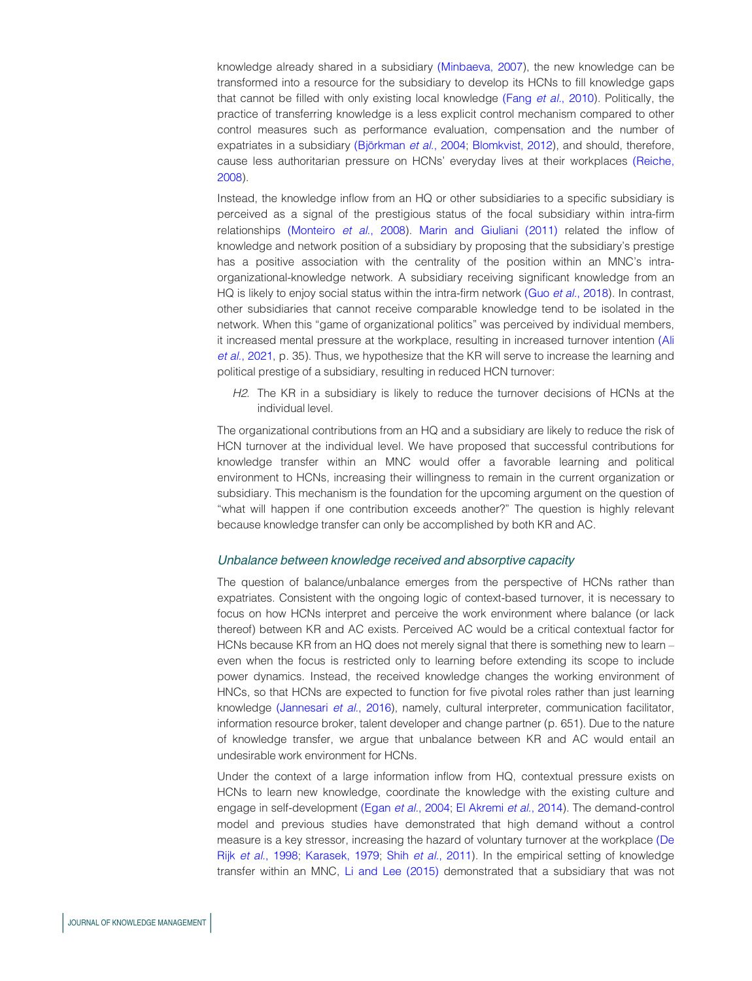knowledge already shared in a subsidiary [\(Minbaeva, 2007\)](#page-18-0), the new knowledge can be transformed into a resource for the subsidiary to develop its HCNs to fill knowledge gaps that cannot be filled with only existing local knowledge (Fang et al.[, 2010](#page-17-8)). Politically, the practice of transferring knowledge is a less explicit control mechanism compared to other control measures such as performance evaluation, compensation and the number of expatriates in a subsidiary (Björkman et al., 2004; [Blomkvist, 2012](#page-16-0)), and should, therefore, cause less authoritarian pressure on HCNs' everyday lives at their workplaces [\(Reiche,](#page-19-3) [2008\)](#page-19-3).

Instead, the knowledge inflow from an HQ or other subsidiaries to a specific subsidiary is perceived as a signal of the prestigious status of the focal subsidiary within intra-firm relationships [\(Monteiro](#page-18-9) et al., 2008). [Marin and Giuliani \(2011\)](#page-18-10) related the inflow of knowledge and network position of a subsidiary by proposing that the subsidiary's prestige has a positive association with the centrality of the position within an MNC's intraorganizational-knowledge network. A subsidiary receiving significant knowledge from an HQ is likely to enjoy social status within the intra-firm network (Guo et al.[, 2018\)](#page-17-9). In contrast, other subsidiaries that cannot receive comparable knowledge tend to be isolated in the network. When this "game of organizational politics" was perceived by individual members, it increased mental pressure at the workplace, resulting in increased turnover intention [\(Ali](#page-15-2) et al.[, 2021,](#page-15-2) p. 35). Thus, we hypothesize that the KR will serve to increase the learning and political prestige of a subsidiary, resulting in reduced HCN turnover:

H2. The KR in a subsidiary is likely to reduce the turnover decisions of HCNs at the individual level.

The organizational contributions from an HQ and a subsidiary are likely to reduce the risk of HCN turnover at the individual level. We have proposed that successful contributions for knowledge transfer within an MNC would offer a favorable learning and political environment to HCNs, increasing their willingness to remain in the current organization or subsidiary. This mechanism is the foundation for the upcoming argument on the question of "what will happen if one contribution exceeds another?" The question is highly relevant because knowledge transfer can only be accomplished by both KR and AC.

### Unbalance between knowledge received and absorptive capacity

The question of balance/unbalance emerges from the perspective of HCNs rather than expatriates. Consistent with the ongoing logic of context-based turnover, it is necessary to focus on how HCNs interpret and perceive the work environment where balance (or lack thereof) between KR and AC exists. Perceived AC would be a critical contextual factor for HCNs because KR from an HQ does not merely signal that there is something new to learn – even when the focus is restricted only to learning before extending its scope to include power dynamics. Instead, the received knowledge changes the working environment of HNCs, so that HCNs are expected to function for five pivotal roles rather than just learning knowledge [\(Jannesari](#page-17-10) et al., 2016), namely, cultural interpreter, communication facilitator, information resource broker, talent developer and change partner (p. 651). Due to the nature of knowledge transfer, we argue that unbalance between KR and AC would entail an undesirable work environment for HCNs.

Under the context of a large information inflow from HQ, contextual pressure exists on HCNs to learn new knowledge, coordinate the knowledge with the existing culture and engage in self-development (Egan et al.[, 2004](#page-17-4); [El Akremi](#page-17-6) et al., 2014). The demand-control model and previous studies have demonstrated that high demand without a control measure is a key stressor, increasing the hazard of voluntary turnover at the workplace [\(De](#page-16-12) Rijk et al.[, 1998;](#page-16-12) [Karasek, 1979](#page-18-11); Shih et al.[, 2011](#page-19-10)). In the empirical setting of knowledge transfer within an MNC, [Li and Lee \(2015\)](#page-18-12) demonstrated that a subsidiary that was not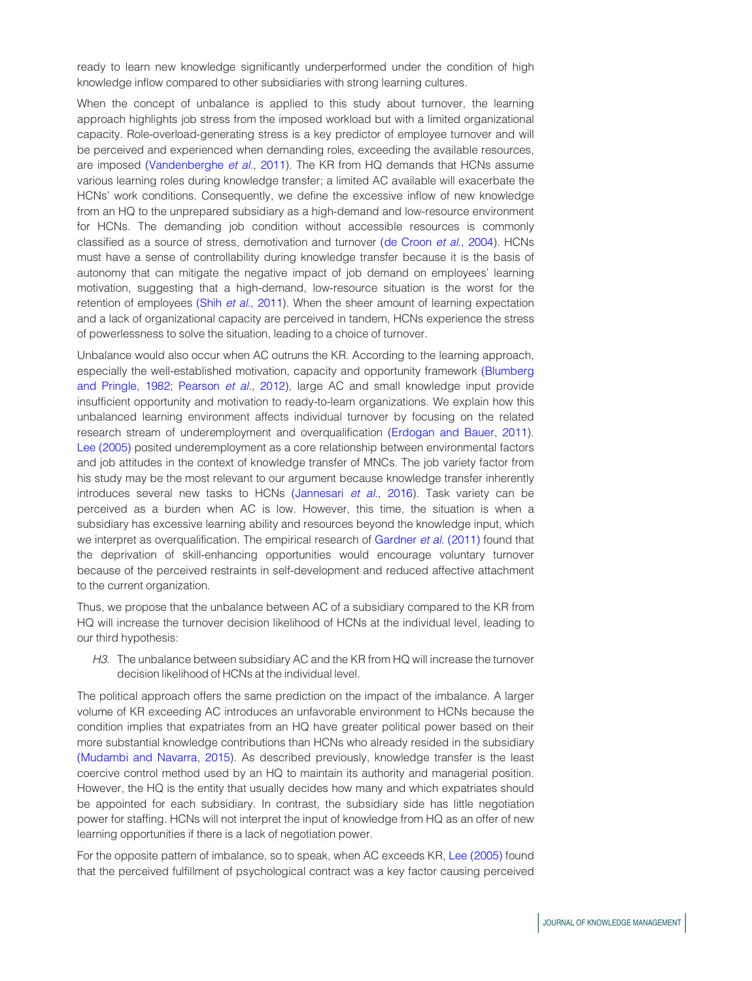ready to learn new knowledge significantly underperformed under the condition of high knowledge inflow compared to other subsidiaries with strong learning cultures.

When the concept of unbalance is applied to this study about turnover, the learning approach highlights job stress from the imposed workload but with a limited organizational capacity. Role-overload-generating stress is a key predictor of employee turnover and will be perceived and experienced when demanding roles, exceeding the available resources, are imposed [\(Vandenberghe](#page-19-11) et al., 2011). The KR from HQ demands that HCNs assume various learning roles during knowledge transfer; a limited AC available will exacerbate the HCNs' work conditions. Consequently, we define the excessive inflow of new knowledge from an HQ to the unprepared subsidiary as a high-demand and low-resource environment for HCNs. The demanding job condition without accessible resources is commonly classified as a source of stress, demotivation and turnover [\(de Croon](#page-16-13) et al., 2004). HCNs must have a sense of controllability during knowledge transfer because it is the basis of autonomy that can mitigate the negative impact of job demand on employees' learning motivation, suggesting that a high-demand, low-resource situation is the worst for the retention of employees (Shih et al.[, 2011\)](#page-19-10). When the sheer amount of learning expectation and a lack of organizational capacity are perceived in tandem, HCNs experience the stress of powerlessness to solve the situation, leading to a choice of turnover.

Unbalance would also occur when AC outruns the KR. According to the learning approach, especially the well-established motivation, capacity and opportunity framework [\(Blumberg](#page-16-14) [and Pringle, 1982;](#page-16-14) [Pearson](#page-19-12) et al., 2012), large AC and small knowledge input provide insufficient opportunity and motivation to ready-to-learn organizations. We explain how this unbalanced learning environment affects individual turnover by focusing on the related research stream of underemployment and overqualification [\(Erdogan and Bauer, 2011\)](#page-17-11). [Lee \(2005\)](#page-18-13) posited underemployment as a core relationship between environmental factors and job attitudes in the context of knowledge transfer of MNCs. The job variety factor from his study may be the most relevant to our argument because knowledge transfer inherently introduces several new tasks to HCNs [\(Jannesari](#page-17-10) et al., 2016). Task variety can be perceived as a burden when AC is low. However, this time, the situation is when a subsidiary has excessive learning ability and resources beyond the knowledge input, which we interpret as overqualification. The empirical research of [Gardner](#page-17-12) et al. (2011) found that the deprivation of skill-enhancing opportunities would encourage voluntary turnover because of the perceived restraints in self-development and reduced affective attachment to the current organization.

Thus, we propose that the unbalance between AC of a subsidiary compared to the KR from HQ will increase the turnover decision likelihood of HCNs at the individual level, leading to our third hypothesis:

H3. The unbalance between subsidiary AC and the KR from HQ will increase the turnover decision likelihood of HCNs at the individual level.

The political approach offers the same prediction on the impact of the imbalance. A larger volume of KR exceeding AC introduces an unfavorable environment to HCNs because the condition implies that expatriates from an HQ have greater political power based on their more substantial knowledge contributions than HCNs who already resided in the subsidiary [\(Mudambi and Navarra, 2015](#page-18-5)). As described previously, knowledge transfer is the least coercive control method used by an HQ to maintain its authority and managerial position. However, the HQ is the entity that usually decides how many and which expatriates should be appointed for each subsidiary. In contrast, the subsidiary side has little negotiation power for staffing. HCNs will not interpret the input of knowledge from HQ as an offer of new learning opportunities if there is a lack of negotiation power.

For the opposite pattern of imbalance, so to speak, when AC exceeds KR, [Lee \(2005\)](#page-18-13) found that the perceived fulfillment of psychological contract was a key factor causing perceived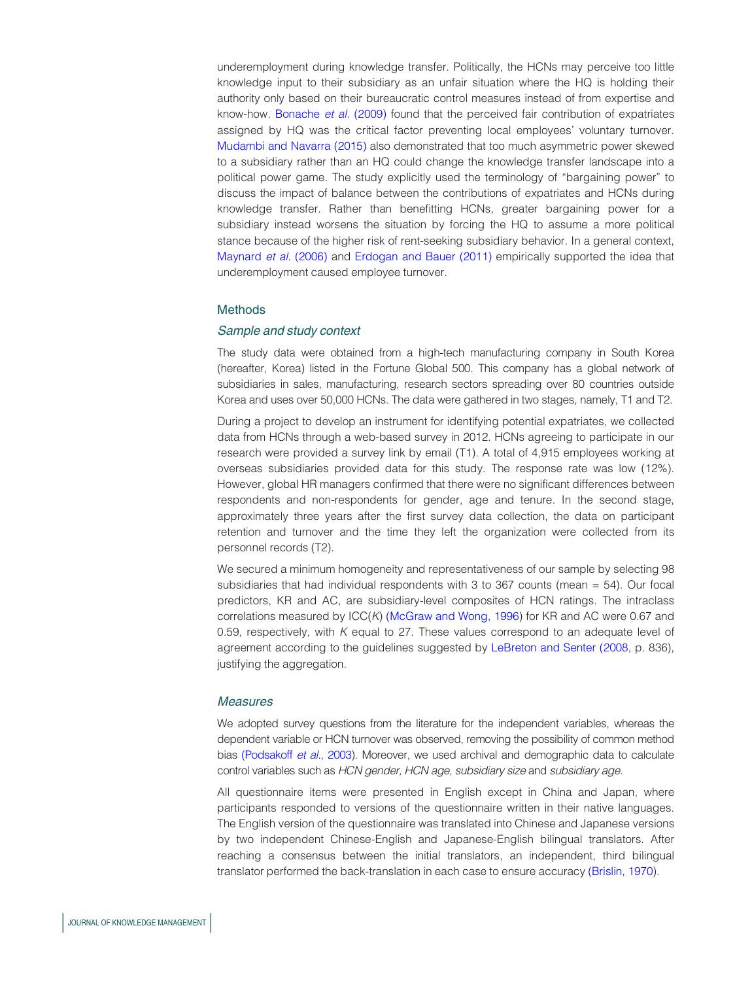underemployment during knowledge transfer. Politically, the HCNs may perceive too little knowledge input to their subsidiary as an unfair situation where the HQ is holding their authority only based on their bureaucratic control measures instead of from expertise and know-how. [Bonache](#page-16-7) et al. (2009) found that the perceived fair contribution of expatriates assigned by HQ was the critical factor preventing local employees' voluntary turnover. [Mudambi and Navarra \(2015\)](#page-18-5) also demonstrated that too much asymmetric power skewed to a subsidiary rather than an HQ could change the knowledge transfer landscape into a political power game. The study explicitly used the terminology of "bargaining power" to discuss the impact of balance between the contributions of expatriates and HCNs during knowledge transfer. Rather than benefitting HCNs, greater bargaining power for a subsidiary instead worsens the situation by forcing the HQ to assume a more political stance because of the higher risk of rent-seeking subsidiary behavior. In a general context, [Maynard](#page-18-14) et al. (2006) and [Erdogan and Bauer \(2011\)](#page-17-11) empirically supported the idea that underemployment caused employee turnover.

### Methods

### Sample and study context

The study data were obtained from a high-tech manufacturing company in South Korea (hereafter, Korea) listed in the Fortune Global 500. This company has a global network of subsidiaries in sales, manufacturing, research sectors spreading over 80 countries outside Korea and uses over 50,000 HCNs. The data were gathered in two stages, namely, T1 and T2.

During a project to develop an instrument for identifying potential expatriates, we collected data from HCNs through a web-based survey in 2012. HCNs agreeing to participate in our research were provided a survey link by email (T1). A total of 4,915 employees working at overseas subsidiaries provided data for this study. The response rate was low (12%). However, global HR managers confirmed that there were no significant differences between respondents and non-respondents for gender, age and tenure. In the second stage, approximately three years after the first survey data collection, the data on participant retention and turnover and the time they left the organization were collected from its personnel records (T2).

We secured a minimum homogeneity and representativeness of our sample by selecting 98 subsidiaries that had individual respondents with 3 to 367 counts (mean = 54). Our focal predictors, KR and AC, are subsidiary-level composites of HCN ratings. The intraclass correlations measured by ICC(K) [\(McGraw and Wong, 1996\)](#page-18-15) for KR and AC were 0.67 and 0.59, respectively, with  $K$  equal to 27. These values correspond to an adequate level of agreement according to the guidelines suggested by [LeBreton and Senter \(2008](#page-18-16), p. 836), justifying the aggregation.

### **Measures**

We adopted survey questions from the literature for the independent variables, whereas the dependent variable or HCN turnover was observed, removing the possibility of common method bias [\(Podsakoff](#page-19-13) et al., 2003). Moreover, we used archival and demographic data to calculate control variables such as HCN gender, HCN age, subsidiary size and subsidiary age.

All questionnaire items were presented in English except in China and Japan, where participants responded to versions of the questionnaire written in their native languages. The English version of the questionnaire was translated into Chinese and Japanese versions by two independent Chinese-English and Japanese-English bilingual translators. After reaching a consensus between the initial translators, an independent, third bilingual translator performed the back-translation in each case to ensure accuracy [\(Brislin, 1970\)](#page-16-15).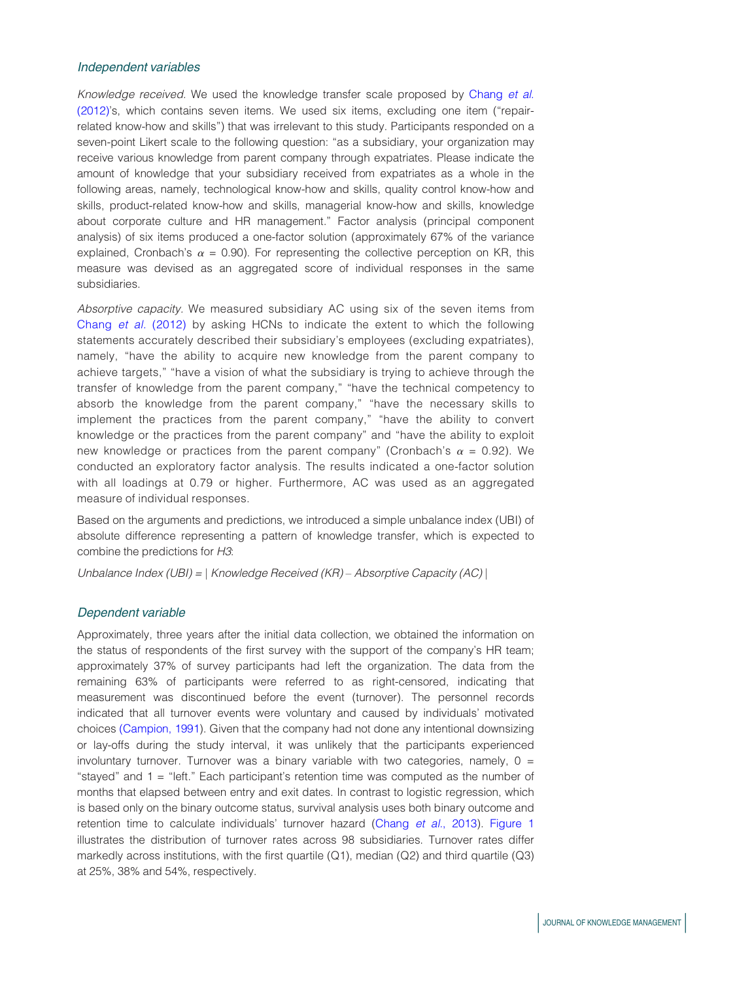### Independent variables

Knowledge received. We used the knowledge transfer scale proposed by [Chang](#page-16-5) et al. [\(2012\)'](#page-16-5)s, which contains seven items. We used six items, excluding one item ("repairrelated know-how and skills") that was irrelevant to this study. Participants responded on a seven-point Likert scale to the following question: "as a subsidiary, your organization may receive various knowledge from parent company through expatriates. Please indicate the amount of knowledge that your subsidiary received from expatriates as a whole in the following areas, namely, technological know-how and skills, quality control know-how and skills, product-related know-how and skills, managerial know-how and skills, knowledge about corporate culture and HR management." Factor analysis (principal component analysis) of six items produced a one-factor solution (approximately 67% of the variance explained, Cronbach's  $\alpha$  = 0.90). For representing the collective perception on KR, this measure was devised as an aggregated score of individual responses in the same subsidiaries.

Absorptive capacity. We measured subsidiary AC using six of the seven items from [Chang](#page-16-5) et al. (2012) by asking HCNs to indicate the extent to which the following statements accurately described their subsidiary's employees (excluding expatriates), namely, "have the ability to acquire new knowledge from the parent company to achieve targets," "have a vision of what the subsidiary is trying to achieve through the transfer of knowledge from the parent company," "have the technical competency to absorb the knowledge from the parent company," "have the necessary skills to implement the practices from the parent company," "have the ability to convert knowledge or the practices from the parent company" and "have the ability to exploit new knowledge or practices from the parent company" (Cronbach's  $\alpha = 0.92$ ). We conducted an exploratory factor analysis. The results indicated a one-factor solution with all loadings at 0.79 or higher. Furthermore, AC was used as an aggregated measure of individual responses.

Based on the arguments and predictions, we introduced a simple unbalance index (UBI) of absolute difference representing a pattern of knowledge transfer, which is expected to combine the predictions for H3:

Unbalance Index (UBI) =  $|$  Knowledge Received (KR) – Absorptive Capacity (AC)  $|$ 

### Dependent variable

Approximately, three years after the initial data collection, we obtained the information on the status of respondents of the first survey with the support of the company's HR team; approximately 37% of survey participants had left the organization. The data from the remaining 63% of participants were referred to as right-censored, indicating that measurement was discontinued before the event (turnover). The personnel records indicated that all turnover events were voluntary and caused by individuals' motivated choices [\(Campion, 1991](#page-16-16)). Given that the company had not done any intentional downsizing or lay-offs during the study interval, it was unlikely that the participants experienced involuntary turnover. Turnover was a binary variable with two categories, namely,  $0 =$ "stayed" and 1 = "left." Each participant's retention time was computed as the number of months that elapsed between entry and exit dates. In contrast to logistic regression, which is based only on the binary outcome status, survival analysis uses both binary outcome and retention time to calculate individuals' turnover hazard (Chang et al.[, 2013\)](#page-16-6). [Figure 1](#page-9-0) illustrates the distribution of turnover rates across 98 subsidiaries. Turnover rates differ markedly across institutions, with the first quartile (Q1), median (Q2) and third quartile (Q3) at 25%, 38% and 54%, respectively.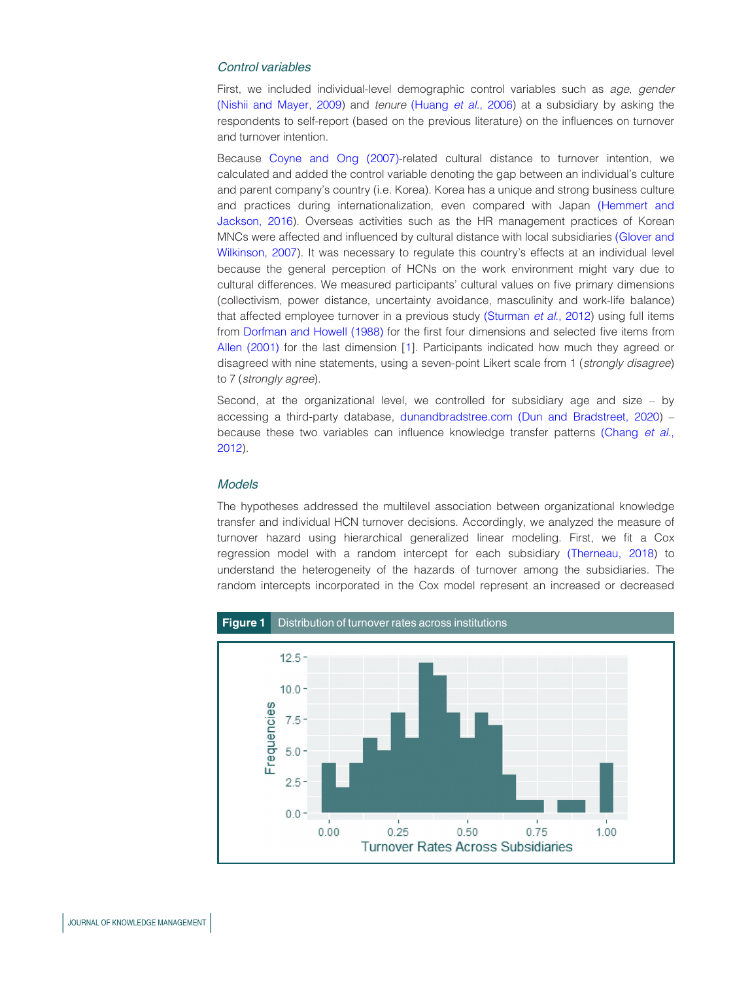### Control variables

First, we included individual-level demographic control variables such as age, gender [\(Nishii and Mayer, 2009](#page-19-9)) and tenure [\(Huang](#page-17-13) et al., 2006) at a subsidiary by asking the respondents to self-report (based on the previous literature) on the influences on turnover and turnover intention.

Because [Coyne and Ong \(2007\)-](#page-16-17)related cultural distance to turnover intention, we calculated and added the control variable denoting the gap between an individual's culture and parent company's country (i.e. Korea). Korea has a unique and strong business culture and practices during internationalization, even compared with Japan [\(Hemmert and](#page-17-14) [Jackson, 2016\)](#page-17-14). Overseas activities such as the HR management practices of Korean MNCs were affected and influenced by cultural distance with local subsidiaries [\(Glover and](#page-17-15) [Wilkinson, 2007\)](#page-17-15). It was necessary to regulate this country's effects at an individual level because the general perception of HCNs on the work environment might vary due to cultural differences. We measured participants' cultural values on five primary dimensions (collectivism, power distance, uncertainty avoidance, masculinity and work-life balance) that affected employee turnover in a previous study [\(Sturman](#page-19-14) et al., 2012) using full items from [Dorfman and Howell \(1988\)](#page-16-18) for the first four dimensions and selected five items from [Allen \(2001\)](#page-15-4) for the last dimension [[1\]](#page-15-5). Participants indicated how much they agreed or disagreed with nine statements, using a seven-point Likert scale from 1 (strongly disagree) to 7 (strongly agree).

Second, at the organizational level, we controlled for subsidiary age and size – by accessing a third-party database, [dunandbradstree.com](http://dunandbradstree.com) [\(Dun and Bradstreet, 2020](#page-16-19)) – because these two variables can influence knowledge transfer patterns [\(Chang](#page-16-5) et al., [2012\)](#page-16-5).

# Models

The hypotheses addressed the multilevel association between organizational knowledge transfer and individual HCN turnover decisions. Accordingly, we analyzed the measure of turnover hazard using hierarchical generalized linear modeling. First, we fit a Cox regression model with a random intercept for each subsidiary [\(Therneau, 2018\)](#page-19-15) to understand the heterogeneity of the hazards of turnover among the subsidiaries. The random intercepts incorporated in the Cox model represent an increased or decreased

<span id="page-9-0"></span>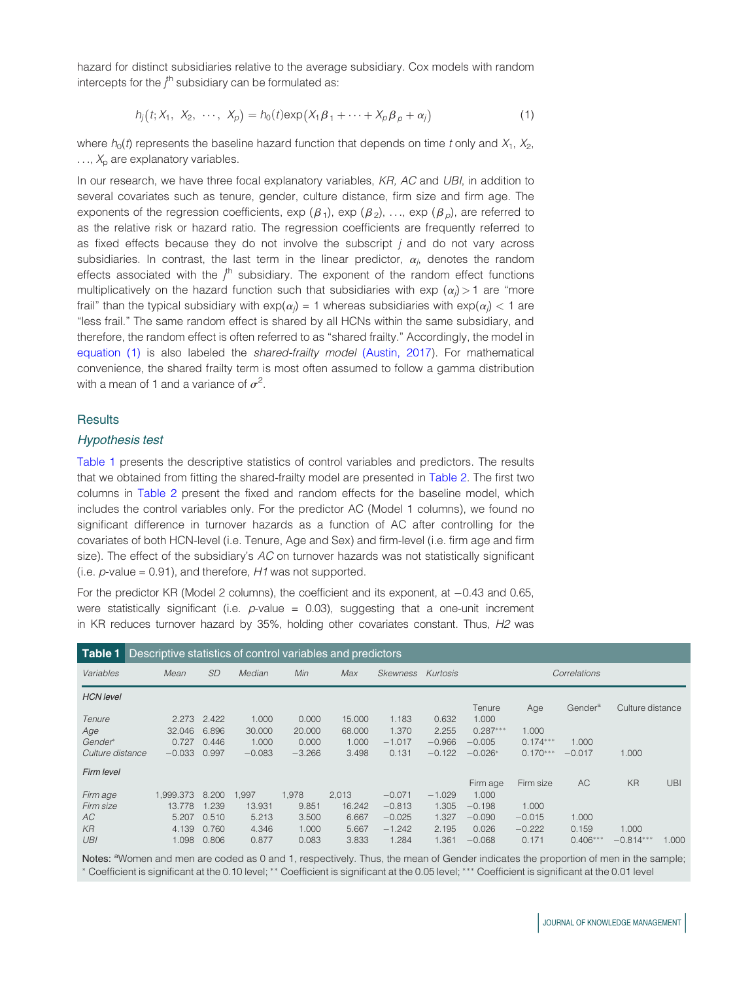hazard for distinct subsidiaries relative to the average subsidiary. Cox models with random intercepts for the  $j^{\text{th}}$  subsidiary can be formulated as:

$$
h_j(t; X_1, X_2, \cdots, X_p) = h_0(t) \exp(X_1 \beta_1 + \cdots + X_p \beta_p + \alpha_j)
$$
 (1)

where  $h_0(t)$  represents the baseline hazard function that depends on time t only and  $X_1, X_2,$  $\ldots$ ,  $X_p$  are explanatory variables.

In our research, we have three focal explanatory variables, KR, AC and UBI, in addition to several covariates such as tenure, gender, culture distance, firm size and firm age. The exponents of the regression coefficients, exp  $(\beta_1)$ , exp  $(\beta_2)$ , ..., exp  $(\beta_0)$ , are referred to as the relative risk or hazard ratio. The regression coefficients are frequently referred to as fixed effects because they do not involve the subscript  $j$  and do not vary across subsidiaries. In contrast, the last term in the linear predictor,  $\alpha_j$ , denotes the random effects associated with the  $j^{\text{th}}$  subsidiary. The exponent of the random effect functions multiplicatively on the hazard function such that subsidiaries with exp  $(\alpha_j)$  > 1 are "more frail" than the typical subsidiary with exp( $\alpha_j$ ) = 1 whereas subsidiaries with exp( $\alpha_j$ ) < 1 are "less frail." The same random effect is shared by all HCNs within the same subsidiary, and therefore, the random effect is often referred to as "shared frailty." Accordingly, the model in equation (1) is also labeled the *shared-frailty model* [\(Austin, 2017\)](#page-15-6). For mathematical convenience, the shared frailty term is most often assumed to follow a gamma distribution with a mean of 1 and a variance of  $\sigma^2$ .

## **Results**

### Hypothesis test

[Table 1](#page-10-0) presents the descriptive statistics of control variables and predictors. The results that we obtained from fitting the shared-frailty model are presented in [Table 2.](#page-11-0) The first two columns in [Table 2](#page-11-0) present the fixed and random effects for the baseline model, which includes the control variables only. For the predictor AC (Model 1 columns), we found no significant difference in turnover hazards as a function of AC after controlling for the covariates of both HCN-level (i.e. Tenure, Age and Sex) and firm-level (i.e. firm age and firm size). The effect of the subsidiary's  $AC$  on turnover hazards was not statistically significant (i.e.  $p$ -value = 0.91), and therefore, H1 was not supported.

For the predictor KR (Model 2 columns), the coefficient and its exponent, at  $-0.43$  and 0.65, were statistically significant (i.e.  $p$ -value = 0.03), suggesting that a one-unit increment in KR reduces turnover hazard by  $35\%$ , holding other covariates constant. Thus,  $H2$  was

<span id="page-10-0"></span>

| <b>Table 1</b> Descriptive statistics of control variables and predictors |           |           |          |          |        |          |          |              |            |                     |                  |            |
|---------------------------------------------------------------------------|-----------|-----------|----------|----------|--------|----------|----------|--------------|------------|---------------------|------------------|------------|
| Variables                                                                 | Mean      | <b>SD</b> | Median   | Min      | Max    | Skewness | Kurtosis | Correlations |            |                     |                  |            |
| <b>HCN</b> level                                                          |           |           |          |          |        |          |          |              |            |                     |                  |            |
|                                                                           |           |           |          |          |        |          |          | Tenure       | Age        | Gender <sup>a</sup> | Culture distance |            |
| Tenure                                                                    | 2.273     | 2.422     | 1.000    | 0.000    | 15,000 | 1.183    | 0.632    | 1.000        |            |                     |                  |            |
| Age                                                                       | 32.046    | 6.896     | 30,000   | 20,000   | 68,000 | 1.370    | 2.255    | $0.287***$   | 1.000      |                     |                  |            |
| Gender*                                                                   | 0.727     | 0.446     | 1.000    | 0.000    | 1.000  | $-1.017$ | $-0.966$ | $-0.005$     | $0.174***$ | 1.000               |                  |            |
| Culture distance                                                          | $-0.033$  | 0.997     | $-0.083$ | $-3.266$ | 3.498  | 0.131    | $-0.122$ | $-0.026*$    | $0.170***$ | $-0.017$            | 1.000            |            |
| Firm level                                                                |           |           |          |          |        |          |          |              |            |                     |                  |            |
|                                                                           |           |           |          |          |        |          |          | Firm age     | Firm size  | AC                  | <b>KR</b>        | <b>UBI</b> |
| Firm age                                                                  | 1.999.373 | 8.200     | 1,997    | 1,978    | 2,013  | $-0.071$ | $-1.029$ | 1.000        |            |                     |                  |            |
| Firm size                                                                 | 13.778    | 1.239     | 13.931   | 9.851    | 16.242 | $-0.813$ | 1.305    | $-0.198$     | 1.000      |                     |                  |            |
| AC                                                                        | 5.207     | 0.510     | 5.213    | 3.500    | 6.667  | $-0.025$ | 1.327    | $-0.090$     | $-0.015$   | 1.000               |                  |            |
| $K$ R                                                                     | 4.139     | 0.760     | 4.346    | 1.000    | 5.667  | $-1.242$ | 2.195    | 0.026        | $-0.222$   | 0.159               | 1.000            |            |
| UBI                                                                       | 1.098     | 0.806     | 0.877    | 0.083    | 3.833  | 1.284    | 1.361    | $-0.068$     | 0.171      | $0.406***$          | $-0.814***$      | 1.000      |

Notes: <sup>a</sup>Women and men are coded as 0 and 1, respectively. Thus, the mean of Gender indicates the proportion of men in the sample; \* Coefficient is significant at the 0.10 level; \*\* Coefficient is significant at the 0.05 level; \*\*\* Coefficient is significant at the 0.01 level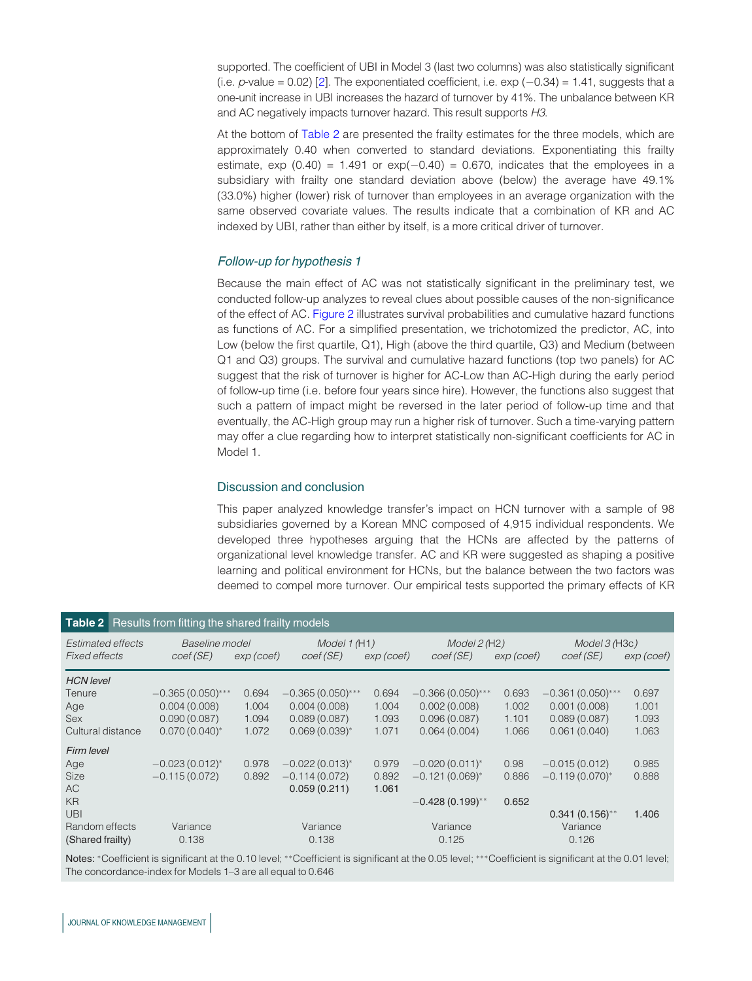supported. The coefficient of UBI in Model 3 (last two columns) was also statistically significant (i.e.  $p$ -value = 0.02) [\[2](#page-15-7)]. The exponentiated coefficient, i.e. exp  $(-0.34)$  = 1.41, suggests that a one-unit increase in UBI increases the hazard of turnover by 41%. The unbalance between KR and AC negatively impacts turnover hazard. This result supports H3.

At the bottom of [Table 2](#page-11-0) are presented the frailty estimates for the three models, which are approximately 0.40 when converted to standard deviations. Exponentiating this frailty estimate, exp  $(0.40) = 1.491$  or  $exp(-0.40) = 0.670$ , indicates that the employees in a subsidiary with frailty one standard deviation above (below) the average have 49.1% (33.0%) higher (lower) risk of turnover than employees in an average organization with the same observed covariate values. The results indicate that a combination of KR and AC indexed by UBI, rather than either by itself, is a more critical driver of turnover.

## Follow-up for hypothesis 1

Because the main effect of AC was not statistically significant in the preliminary test, we conducted follow-up analyzes to reveal clues about possible causes of the non-significance of the effect of AC. [Figure 2](#page-12-0) illustrates survival probabilities and cumulative hazard functions as functions of AC. For a simplified presentation, we trichotomized the predictor, AC, into Low (below the first quartile, Q1), High (above the third quartile, Q3) and Medium (between Q1 and Q3) groups. The survival and cumulative hazard functions (top two panels) for AC suggest that the risk of turnover is higher for AC-Low than AC-High during the early period of follow-up time (i.e. before four years since hire). However, the functions also suggest that such a pattern of impact might be reversed in the later period of follow-up time and that eventually, the AC-High group may run a higher risk of turnover. Such a time-varying pattern may offer a clue regarding how to interpret statistically non-significant coefficients for AC in Model 1.

## Discussion and conclusion

This paper analyzed knowledge transfer's impact on HCN turnover with a sample of 98 subsidiaries governed by a Korean MNC composed of 4,915 individual respondents. We developed three hypotheses arguing that the HCNs are affected by the patterns of organizational level knowledge transfer. AC and KR were suggested as shaping a positive learning and political environment for HCNs, but the balance between the two factors was deemed to compel more turnover. Our empirical tests supported the primary effects of KR

<span id="page-11-0"></span>

|                          | <b>Table 2</b> Results from fitting the shared frailty models |            |                     |            |                              |            |                            |            |
|--------------------------|---------------------------------------------------------------|------------|---------------------|------------|------------------------------|------------|----------------------------|------------|
| <b>Estimated effects</b> | Baseline model                                                |            | Model 1 (H1)        |            | Model 2(H2)                  |            | Model 3 (H <sub>3c</sub> ) |            |
| <b>Fixed effects</b>     | coef (SE)                                                     | exp (coef) | coef (SE)           | exp (coef) | coef (SE)                    | exp (coef) | coef (SE)                  | exp (coef) |
| <b>HCN</b> level         |                                                               |            |                     |            |                              |            |                            |            |
| Tenure                   | $-0.365(0.050)$ ***                                           | 0.694      | $-0.365(0.050)$ *** | 0.694      | $-0.366(0.050)$ ***          | 0.693      | $-0.361(0.050)$ ***        | 0.697      |
| Age                      | 0.004(0.008)                                                  | 1.004      | 0.004(0.008)        | 1.004      | 0.002(0.008)                 | 1.002      | 0.001(0.008)               | 1.001      |
| <b>Sex</b>               | 0.090(0.087)                                                  | 1.094      | 0.089(0.087)        | 1.093      | 0.096(0.087)                 | 1.101      | 0.089(0.087)               | 1.093      |
| Cultural distance        | $0.070(0.040)^{*}$                                            | 1.072      | $0.069(0.039)^{*}$  | 1.071      | 0.064(0.004)                 | 1.066      | 0.061(0.040)               | 1.063      |
| Firm level               |                                                               |            |                     |            |                              |            |                            |            |
| Age                      | $-0.023(0.012)^{*}$                                           | 0.978      | $-0.022(0.013)^{*}$ | 0.979      | $-0.020(0.011)^{*}$          | 0.98       | $-0.015(0.012)$            | 0.985      |
| Size                     | $-0.115(0.072)$                                               | 0.892      | $-0.114(0.072)$     | 0.892      | $-0.121(0.069)$ <sup>*</sup> | 0.886      | $-0.119(0.070)^{*}$        | 0.888      |
| AC.                      |                                                               |            | 0.059(0.211)        | 1.061      |                              |            |                            |            |
| <b>KR</b>                |                                                               |            |                     |            | $-0.428(0.199)$ **           | 0.652      |                            |            |
| UBI                      |                                                               |            |                     |            |                              |            | $0.341(0.156)$ **          | 1.406      |
| Random effects           | Variance                                                      |            | Variance            |            | Variance                     |            | Variance                   |            |
| (Shared frailty)         | 0.138                                                         |            | 0.138               |            | 0.125                        |            | 0.126                      |            |

Notes: \*Coefficient is significant at the 0.10 level; \*\*Coefficient is significant at the 0.05 level; \*\*\*Coefficient is significant at the 0.01 level; The concordance-index for Models 1–3 are all equal to 0.646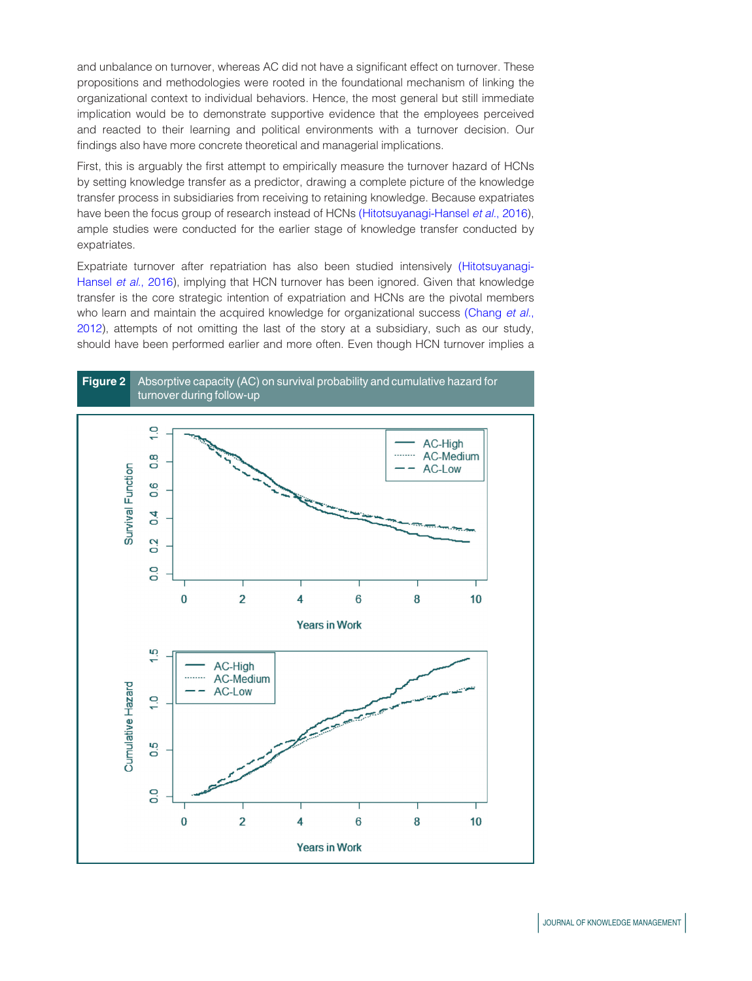and unbalance on turnover, whereas AC did not have a significant effect on turnover. These propositions and methodologies were rooted in the foundational mechanism of linking the organizational context to individual behaviors. Hence, the most general but still immediate implication would be to demonstrate supportive evidence that the employees perceived and reacted to their learning and political environments with a turnover decision. Our findings also have more concrete theoretical and managerial implications.

First, this is arguably the first attempt to empirically measure the turnover hazard of HCNs by setting knowledge transfer as a predictor, drawing a complete picture of the knowledge transfer process in subsidiaries from receiving to retaining knowledge. Because expatriates have been the focus group of research instead of HCNs [\(Hitotsuyanagi-Hansel](#page-17-2) et al., 2016), ample studies were conducted for the earlier stage of knowledge transfer conducted by expatriates.

Expatriate turnover after repatriation has also been studied intensively [\(Hitotsuyanagi-](#page-17-2)[Hansel](#page-17-2) et al., 2016), implying that HCN turnover has been ignored. Given that knowledge transfer is the core strategic intention of expatriation and HCNs are the pivotal members who learn and maintain the acquired knowledge for organizational success [\(Chang](#page-16-5) et al., [2012\)](#page-16-5), attempts of not omitting the last of the story at a subsidiary, such as our study, should have been performed earlier and more often. Even though HCN turnover implies a

<span id="page-12-0"></span>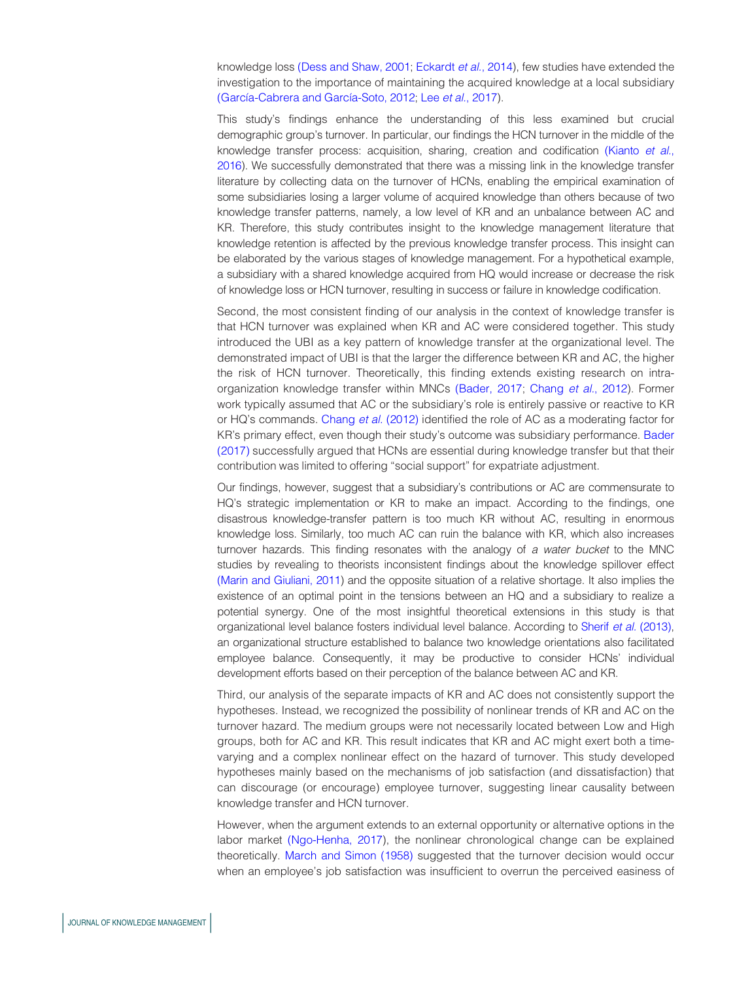knowledge loss [\(Dess and Shaw, 2001;](#page-16-2) [Eckardt](#page-16-1) et al., 2014), few studies have extended the investigation to the importance of maintaining the acquired knowledge at a local subsidiary (García-Cabrera and García-Soto, 2012; Lee et al.[, 2017\)](#page-18-17).

This study's findings enhance the understanding of this less examined but crucial demographic group's turnover. In particular, our findings the HCN turnover in the middle of the knowledge transfer process: acquisition, sharing, creation and codification [\(Kianto](#page-18-1) et al., [2016](#page-18-1)). We successfully demonstrated that there was a missing link in the knowledge transfer literature by collecting data on the turnover of HCNs, enabling the empirical examination of some subsidiaries losing a larger volume of acquired knowledge than others because of two knowledge transfer patterns, namely, a low level of KR and an unbalance between AC and KR. Therefore, this study contributes insight to the knowledge management literature that knowledge retention is affected by the previous knowledge transfer process. This insight can be elaborated by the various stages of knowledge management. For a hypothetical example, a subsidiary with a shared knowledge acquired from HQ would increase or decrease the risk of knowledge loss or HCN turnover, resulting in success or failure in knowledge codification.

Second, the most consistent finding of our analysis in the context of knowledge transfer is that HCN turnover was explained when KR and AC were considered together. This study introduced the UBI as a key pattern of knowledge transfer at the organizational level. The demonstrated impact of UBI is that the larger the difference between KR and AC, the higher the risk of HCN turnover. Theoretically, this finding extends existing research on intraorganization knowledge transfer within MNCs [\(Bader, 2017](#page-15-8); [Chang](#page-16-5) et al., 2012). Former work typically assumed that AC or the subsidiary's role is entirely passive or reactive to KR or HQ's commands. [Chang](#page-16-5) et al. (2012) identified the role of AC as a moderating factor for KR's primary effect, even though their study's outcome was subsidiary performance. [Bader](#page-15-8) [\(2017\)](#page-15-8) successfully argued that HCNs are essential during knowledge transfer but that their contribution was limited to offering "social support" for expatriate adjustment.

Our findings, however, suggest that a subsidiary's contributions or AC are commensurate to HQ's strategic implementation or KR to make an impact. According to the findings, one disastrous knowledge-transfer pattern is too much KR without AC, resulting in enormous knowledge loss. Similarly, too much AC can ruin the balance with KR, which also increases turnover hazards. This finding resonates with the analogy of a water bucket to the MNC studies by revealing to theorists inconsistent findings about the knowledge spillover effect [\(Marin and Giuliani, 2011\)](#page-18-10) and the opposite situation of a relative shortage. It also implies the existence of an optimal point in the tensions between an HQ and a subsidiary to realize a potential synergy. One of the most insightful theoretical extensions in this study is that organizational level balance fosters individual level balance. According to Sherif et al. [\(2013\)](#page-19-16), an organizational structure established to balance two knowledge orientations also facilitated employee balance. Consequently, it may be productive to consider HCNs' individual development efforts based on their perception of the balance between AC and KR.

Third, our analysis of the separate impacts of KR and AC does not consistently support the hypotheses. Instead, we recognized the possibility of nonlinear trends of KR and AC on the turnover hazard. The medium groups were not necessarily located between Low and High groups, both for AC and KR. This result indicates that KR and AC might exert both a timevarying and a complex nonlinear effect on the hazard of turnover. This study developed hypotheses mainly based on the mechanisms of job satisfaction (and dissatisfaction) that can discourage (or encourage) employee turnover, suggesting linear causality between knowledge transfer and HCN turnover.

However, when the argument extends to an external opportunity or alternative options in the labor market [\(Ngo-Henha, 2017\)](#page-19-17), the nonlinear chronological change can be explained theoretically. [March and Simon \(1958\)](#page-18-18) suggested that the turnover decision would occur when an employee's job satisfaction was insufficient to overrun the perceived easiness of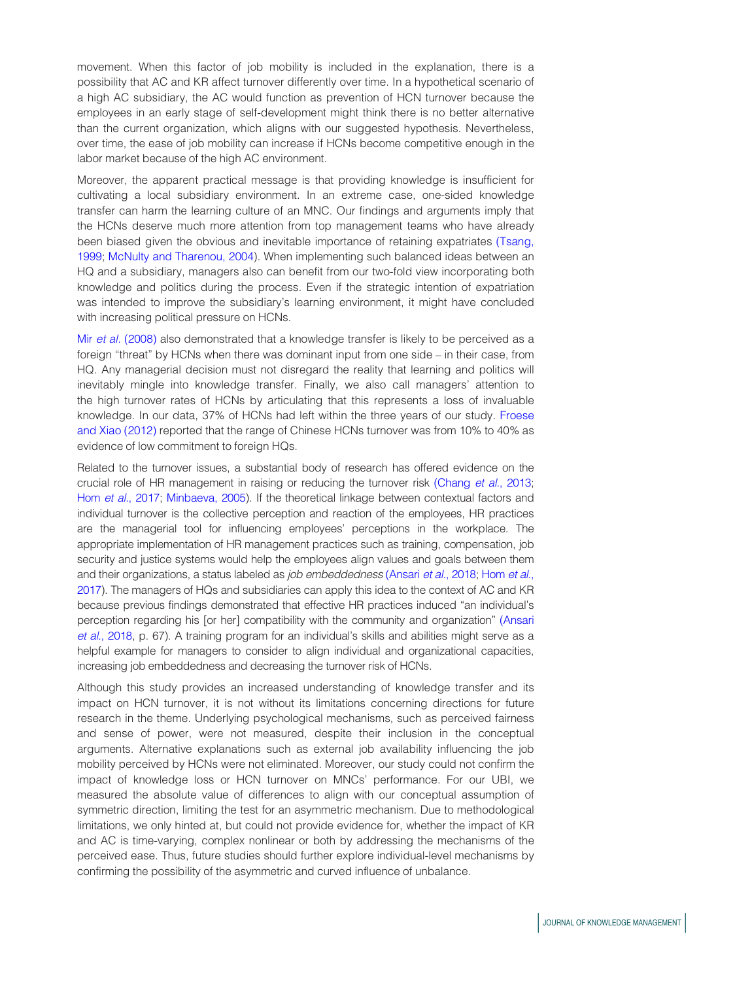movement. When this factor of job mobility is included in the explanation, there is a possibility that AC and KR affect turnover differently over time. In a hypothetical scenario of a high AC subsidiary, the AC would function as prevention of HCN turnover because the employees in an early stage of self-development might think there is no better alternative than the current organization, which aligns with our suggested hypothesis. Nevertheless, over time, the ease of job mobility can increase if HCNs become competitive enough in the labor market because of the high AC environment.

Moreover, the apparent practical message is that providing knowledge is insufficient for cultivating a local subsidiary environment. In an extreme case, one-sided knowledge transfer can harm the learning culture of an MNC. Our findings and arguments imply that the HCNs deserve much more attention from top management teams who have already been biased given the obvious and inevitable importance of retaining expatriates [\(Tsang,](#page-19-18) [1999;](#page-19-18) [McNulty and Tharenou, 2004\)](#page-18-19). When implementing such balanced ideas between an HQ and a subsidiary, managers also can benefit from our two-fold view incorporating both knowledge and politics during the process. Even if the strategic intention of expatriation was intended to improve the subsidiary's learning environment, it might have concluded with increasing political pressure on HCNs.

Mir et al. [\(2008\)](#page-18-20) also demonstrated that a knowledge transfer is likely to be perceived as a foreign "threat" by HCNs when there was dominant input from one side – in their case, from HQ. Any managerial decision must not disregard the reality that learning and politics will inevitably mingle into knowledge transfer. Finally, we also call managers' attention to the high turnover rates of HCNs by articulating that this represents a loss of invaluable knowledge. In our data, 37% of HCNs had left within the three years of our study. [Froese](#page-17-0) [and Xiao \(2012\)](#page-17-0) reported that the range of Chinese HCNs turnover was from 10% to 40% as evidence of low commitment to foreign HQs.

Related to the turnover issues, a substantial body of research has offered evidence on the crucial role of HR management in raising or reducing the turnover risk [\(Chang](#page-16-6) et al., 2013; Hom et al.[, 2017](#page-17-16); [Minbaeva, 2005\)](#page-18-4). If the theoretical linkage between contextual factors and individual turnover is the collective perception and reaction of the employees, HR practices are the managerial tool for influencing employees' perceptions in the workplace. The appropriate implementation of HR management practices such as training, compensation, job security and justice systems would help the employees align values and goals between them and their organizations, a status labeled as *job embeddedness* [\(Ansari](#page-15-9) et al., 2018; [Hom](#page-17-16) et al., [2017](#page-17-16)). The managers of HQs and subsidiaries can apply this idea to the context of AC and KR because previous findings demonstrated that effective HR practices induced "an individual's perception regarding his [or her] compatibility with the community and organization" [\(Ansari](#page-15-9) et al.[, 2018,](#page-15-9) p. 67). A training program for an individual's skills and abilities might serve as a helpful example for managers to consider to align individual and organizational capacities, increasing job embeddedness and decreasing the turnover risk of HCNs.

Although this study provides an increased understanding of knowledge transfer and its impact on HCN turnover, it is not without its limitations concerning directions for future research in the theme. Underlying psychological mechanisms, such as perceived fairness and sense of power, were not measured, despite their inclusion in the conceptual arguments. Alternative explanations such as external job availability influencing the job mobility perceived by HCNs were not eliminated. Moreover, our study could not confirm the impact of knowledge loss or HCN turnover on MNCs' performance. For our UBI, we measured the absolute value of differences to align with our conceptual assumption of symmetric direction, limiting the test for an asymmetric mechanism. Due to methodological limitations, we only hinted at, but could not provide evidence for, whether the impact of KR and AC is time-varying, complex nonlinear or both by addressing the mechanisms of the perceived ease. Thus, future studies should further explore individual-level mechanisms by confirming the possibility of the asymmetric and curved influence of unbalance.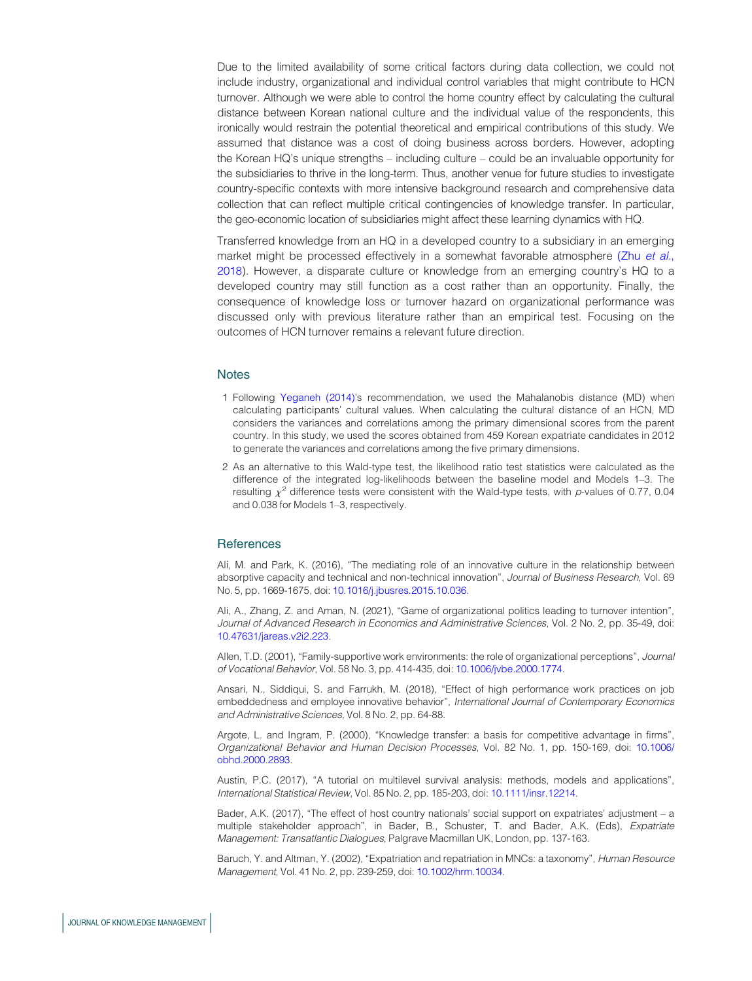Due to the limited availability of some critical factors during data collection, we could not include industry, organizational and individual control variables that might contribute to HCN turnover. Although we were able to control the home country effect by calculating the cultural distance between Korean national culture and the individual value of the respondents, this ironically would restrain the potential theoretical and empirical contributions of this study. We assumed that distance was a cost of doing business across borders. However, adopting the Korean HQ's unique strengths – including culture – could be an invaluable opportunity for the subsidiaries to thrive in the long-term. Thus, another venue for future studies to investigate country-specific contexts with more intensive background research and comprehensive data collection that can reflect multiple critical contingencies of knowledge transfer. In particular, the geo-economic location of subsidiaries might affect these learning dynamics with HQ.

Transferred knowledge from an HQ in a developed country to a subsidiary in an emerging market might be processed effectively in a somewhat favorable atmosphere (Zhu [et al.](#page-20-3), [2018\)](#page-20-3). However, a disparate culture or knowledge from an emerging country's HQ to a developed country may still function as a cost rather than an opportunity. Finally, the consequence of knowledge loss or turnover hazard on organizational performance was discussed only with previous literature rather than an empirical test. Focusing on the outcomes of HCN turnover remains a relevant future direction.

### **Notes**

- <span id="page-15-5"></span>1 Following [Yeganeh \(2014\)'](#page-20-4)s recommendation, we used the Mahalanobis distance (MD) when calculating participants' cultural values. When calculating the cultural distance of an HCN, MD considers the variances and correlations among the primary dimensional scores from the parent country. In this study, we used the scores obtained from 459 Korean expatriate candidates in 2012 to generate the variances and correlations among the five primary dimensions.
- <span id="page-15-7"></span>2 As an alternative to this Wald-type test, the likelihood ratio test statistics were calculated as the difference of the integrated log-likelihoods between the baseline model and Models 1–3. The resulting  $\chi^2$  difference tests were consistent with the Wald-type tests, with p-values of 0.77, 0.04 and 0.038 for Models 1–3, respectively.

### **References**

<span id="page-15-3"></span>Ali, M. and Park, K. (2016), "The mediating role of an innovative culture in the relationship between absorptive capacity and technical and non-technical innovation", Journal of Business Research, Vol. 69 No. 5, pp. 1669-1675, doi: [10.1016/j.jbusres.2015.10.036](http://dx.doi.org/10.1016/j.jbusres.2015.10.036).

<span id="page-15-2"></span>Ali, A., Zhang, Z. and Aman, N. (2021), "Game of organizational politics leading to turnover intention", Journal of Advanced Research in Economics and Administrative Sciences, Vol. 2 No. 2, pp. 35-49, doi: [10.47631/jareas.v2i2.223.](http://dx.doi.org/10.47631/jareas.v2i2.223)

<span id="page-15-4"></span>Allen, T.D. (2001), "Family-supportive work environments: the role of organizational perceptions", Journal of Vocational Behavior, Vol. 58 No. 3, pp. 414-435, doi: [10.1006/jvbe.2000.1774](http://dx.doi.org/10.1006/jvbe.2000.1774).

<span id="page-15-9"></span>Ansari, N., Siddiqui, S. and Farrukh, M. (2018), "Effect of high performance work practices on job embeddedness and employee innovative behavior", International Journal of Contemporary Economics and Administrative Sciences, Vol. 8 No. 2, pp. 64-88.

<span id="page-15-0"></span>Argote, L. and Ingram, P. (2000), "Knowledge transfer: a basis for competitive advantage in firms", Organizational Behavior and Human Decision Processes, Vol. 82 No. 1, pp. 150-169, doi: [10.1006/](http://dx.doi.org/10.1006/obhd.2000.2893) [obhd.2000.2893.](http://dx.doi.org/10.1006/obhd.2000.2893)

<span id="page-15-6"></span>Austin, P.C. (2017), "A tutorial on multilevel survival analysis: methods, models and applications", International Statistical Review, Vol. 85 No. 2, pp. 185-203, doi: [10.1111/insr.12214.](http://dx.doi.org/10.1111/insr.12214)

<span id="page-15-8"></span>Bader, A.K. (2017), "The effect of host country nationals' social support on expatriates' adjustment – a multiple stakeholder approach", in Bader, B., Schuster, T. and Bader, A.K. (Eds), Expatriate Management: Transatlantic Dialogues, Palgrave Macmillan UK, London, pp. 137-163.

<span id="page-15-1"></span>Baruch, Y. and Altman, Y. (2002), "Expatriation and repatriation in MNCs: a taxonomy", Human Resource Management, Vol. 41 No. 2, pp. 239-259, doi: [10.1002/hrm.10034.](http://dx.doi.org/10.1002/hrm.10034)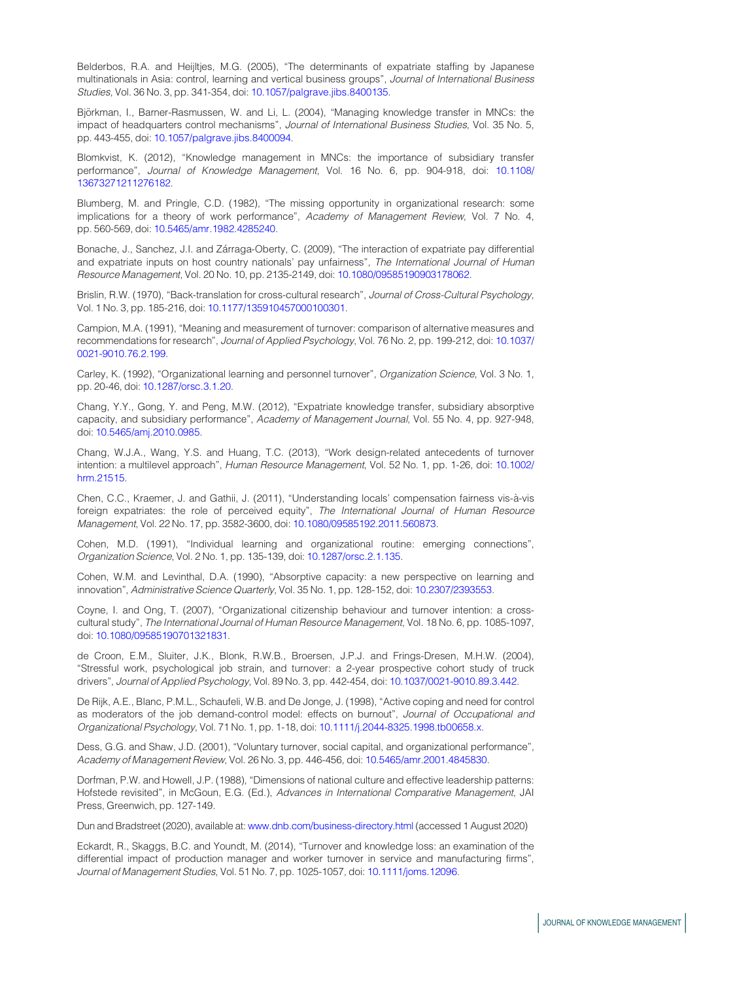<span id="page-16-4"></span>Belderbos, R.A. and Heijltjes, M.G. (2005), "The determinants of expatriate staffing by Japanese multinationals in Asia: control, learning and vertical business groups", Journal of International Business Studies, Vol. 36 No. 3, pp. 341-354, doi: [10.1057/palgrave.jibs.8400135](http://dx.doi.org/10.1057/palgrave.jibs.8400135).

<span id="page-16-11"></span>Björkman, I., Barner-Rasmussen, W. and Li, L. (2004), "Managing knowledge transfer in MNCs: the impact of headquarters control mechanisms", Journal of International Business Studies, Vol. 35 No. 5, pp. 443-455, doi: [10.1057/palgrave.jibs.8400094](http://dx.doi.org/10.1057/palgrave.jibs.8400094).

<span id="page-16-0"></span>Blomkvist, K. (2012), "Knowledge management in MNCs: the importance of subsidiary transfer performance", Journal of Knowledge Management, Vol. 16 No. 6, pp. 904-918, doi: [10.1108/](http://dx.doi.org/10.1108/13673271211276182) [13673271211276182.](http://dx.doi.org/10.1108/13673271211276182)

<span id="page-16-14"></span>Blumberg, M. and Pringle, C.D. (1982), "The missing opportunity in organizational research: some implications for a theory of work performance", Academy of Management Review, Vol. 7 No. 4, pp. 560-569, doi: [10.5465/amr.1982.4285240](http://dx.doi.org/10.5465/amr.1982.4285240).

<span id="page-16-7"></span>Bonache, J., Sanchez, J.I. and Zárraga-Oberty, C. (2009), "The interaction of expatriate pay differential and expatriate inputs on host country nationals' pay unfairness", The International Journal of Human Resource Management, Vol. 20 No. 10, pp. 2135-2149, doi: [10.1080/09585190903178062.](http://dx.doi.org/10.1080/09585190903178062)

<span id="page-16-15"></span>Brislin, R.W. (1970), "Back-translation for cross-cultural research", Journal of Cross-Cultural Psychology, Vol. 1 No. 3, pp. 185-216, doi: [10.1177/135910457000100301](http://dx.doi.org/10.1177/135910457000100301).

<span id="page-16-16"></span>Campion, M.A. (1991), "Meaning and measurement of turnover: comparison of alternative measures and recommendations for research", Journal of Applied Psychology, Vol. 76 No. 2, pp. 199-212, doi: [10.1037/](http://dx.doi.org/10.1037/0021-9010.76.2.199) [0021-9010.76.2.199](http://dx.doi.org/10.1037/0021-9010.76.2.199).

<span id="page-16-10"></span>Carley, K. (1992), "Organizational learning and personnel turnover", Organization Science, Vol. 3 No. 1, pp. 20-46, doi: [10.1287/orsc.3.1.20.](http://dx.doi.org/10.1287/orsc.3.1.20)

<span id="page-16-5"></span>Chang, Y.Y., Gong, Y. and Peng, M.W. (2012), "Expatriate knowledge transfer, subsidiary absorptive capacity, and subsidiary performance", Academy of Management Journal, Vol. 55 No. 4, pp. 927-948, doi: [10.5465/amj.2010.0985](http://dx.doi.org/10.5465/amj.2010.0985).

<span id="page-16-6"></span>Chang, W.J.A., Wang, Y.S. and Huang, T.C. (2013), "Work design-related antecedents of turnover intention: a multilevel approach", Human Resource Management, Vol. 52 No. 1, pp. 1-26, doi: [10.1002/](http://dx.doi.org/10.1002/hrm.21515) [hrm.21515.](http://dx.doi.org/10.1002/hrm.21515)

<span id="page-16-8"></span>Chen, C.C., Kraemer, J. and Gathii, J. (2011), "Understanding locals' compensation fairness vis-a`-vis foreign expatriates: the role of perceived equity", The International Journal of Human Resource Management, Vol. 22 No. 17, pp. 3582-3600, doi: [10.1080/09585192.2011.560873](http://dx.doi.org/10.1080/09585192.2011.560873).

<span id="page-16-3"></span>Cohen, M.D. (1991), "Individual learning and organizational routine: emerging connections", Organization Science, Vol. 2 No. 1, pp. 135-139, doi: [10.1287/orsc.2.1.135](http://dx.doi.org/10.1287/orsc.2.1.135).

<span id="page-16-9"></span>Cohen, W.M. and Levinthal, D.A. (1990), "Absorptive capacity: a new perspective on learning and innovation", Administrative Science Quarterly, Vol. 35 No. 1, pp. 128-152, doi: [10.2307/2393553](http://dx.doi.org/10.2307/2393553).

<span id="page-16-17"></span>Coyne, I. and Ong, T. (2007), "Organizational citizenship behaviour and turnover intention: a crosscultural study", The International Journal of Human Resource Management, Vol. 18 No. 6, pp. 1085-1097, doi: [10.1080/09585190701321831](http://dx.doi.org/10.1080/09585190701321831).

<span id="page-16-13"></span>de Croon, E.M., Sluiter, J.K., Blonk, R.W.B., Broersen, J.P.J. and Frings-Dresen, M.H.W. (2004), "Stressful work, psychological job strain, and turnover: a 2-year prospective cohort study of truck drivers", Journal of Applied Psychology, Vol. 89 No. 3, pp. 442-454, doi: [10.1037/0021-9010.89.3.442](http://dx.doi.org/10.1037/0021-9010.89.3.442).

<span id="page-16-12"></span>De Rijk, A.E., Blanc, P.M.L., Schaufeli, W.B. and De Jonge, J. (1998), "Active coping and need for control as moderators of the job demand-control model: effects on burnout", Journal of Occupational and Organizational Psychology, Vol. 71 No. 1, pp. 1-18, doi: [10.1111/j.2044-8325.1998.tb00658.x](http://dx.doi.org/10.1111/j.2044-8325.1998.tb00658.x).

<span id="page-16-2"></span>Dess, G.G. and Shaw, J.D. (2001), "Voluntary turnover, social capital, and organizational performance", Academy of Management Review, Vol. 26 No. 3, pp. 446-456, doi: [10.5465/amr.2001.4845830.](http://dx.doi.org/10.5465/amr.2001.4845830)

<span id="page-16-18"></span>Dorfman, P.W. and Howell, J.P. (1988), "Dimensions of national culture and effective leadership patterns: Hofstede revisited", in McGoun, E.G. (Ed.), Advances in International Comparative Management, JAI Press, Greenwich, pp. 127-149.

<span id="page-16-19"></span>Dun and Bradstreet (2020), available at: [www.dnb.com/business-directory.html](http://www.dnb.com/business-directory.html) (accessed 1 August 2020)

<span id="page-16-1"></span>Eckardt, R., Skaggs, B.C. and Youndt, M. (2014), "Turnover and knowledge loss: an examination of the differential impact of production manager and worker turnover in service and manufacturing firms", Journal of Management Studies, Vol. 51 No. 7, pp. 1025-1057, doi: [10.1111/joms.12096.](http://dx.doi.org/10.1111/joms.12096)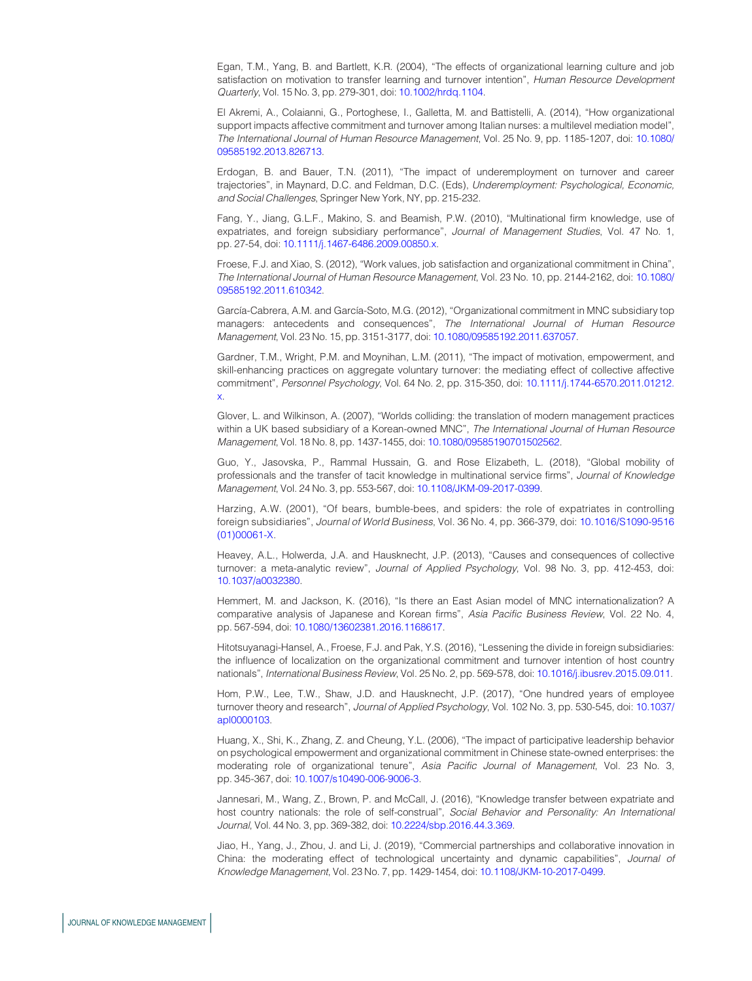<span id="page-17-4"></span>Egan, T.M., Yang, B. and Bartlett, K.R. (2004), "The effects of organizational learning culture and job satisfaction on motivation to transfer learning and turnover intention", Human Resource Development Quarterly, Vol. 15 No. 3, pp. 279-301, doi: [10.1002/hrdq.1104.](http://dx.doi.org/10.1002/hrdq.1104)

<span id="page-17-6"></span>El Akremi, A., Colaianni, G., Portoghese, I., Galletta, M. and Battistelli, A. (2014), "How organizational support impacts affective commitment and turnover among Italian nurses: a multilevel mediation model", The International Journal of Human Resource Management, Vol. 25 No. 9, pp. 1185-1207, doi: [10.1080/](http://dx.doi.org/10.1080/09585192.2013.826713) [09585192.2013.826713.](http://dx.doi.org/10.1080/09585192.2013.826713)

<span id="page-17-11"></span>Erdogan, B. and Bauer, T.N. (2011), "The impact of underemployment on turnover and career trajectories", in Maynard, D.C. and Feldman, D.C. (Eds), Underemployment: Psychological, Economic, and Social Challenges, Springer New York, NY, pp. 215-232.

<span id="page-17-8"></span>Fang, Y., Jiang, G.L.F., Makino, S. and Beamish, P.W. (2010), "Multinational firm knowledge, use of expatriates, and foreign subsidiary performance", Journal of Management Studies, Vol. 47 No. 1, pp. 27-54, doi: [10.1111/j.1467-6486.2009.00850.x](http://dx.doi.org/10.1111/j.1467-6486.2009.00850.x).

<span id="page-17-0"></span>Froese, F.J. and Xiao, S. (2012), "Work values, job satisfaction and organizational commitment in China", The International Journal of Human Resource Management, Vol. 23 No. 10, pp. 2144-2162, doi: [10.1080/](http://dx.doi.org/10.1080/09585192.2011.610342) [09585192.2011.610342.](http://dx.doi.org/10.1080/09585192.2011.610342)

<span id="page-17-1"></span>García-Cabrera, A.M. and García-Soto, M.G. (2012), "Organizational commitment in MNC subsidiary top managers: antecedents and consequences", The International Journal of Human Resource Management, Vol. 23 No. 15, pp. 3151-3177, doi: [10.1080/09585192.2011.637057](http://dx.doi.org/10.1080/09585192.2011.637057).

<span id="page-17-12"></span>Gardner, T.M., Wright, P.M. and Moynihan, L.M. (2011), "The impact of motivation, empowerment, and skill-enhancing practices on aggregate voluntary turnover: the mediating effect of collective affective commitment", Personnel Psychology, Vol. 64 No. 2, pp. 315-350, doi: [10.1111/j.1744-6570.2011.01212.](http://dx.doi.org/10.1111/j.1744-6570.2011.01212.x) [x.](http://dx.doi.org/10.1111/j.1744-6570.2011.01212.x)

<span id="page-17-15"></span>Glover, L. and Wilkinson, A. (2007), "Worlds colliding: the translation of modern management practices within a UK based subsidiary of a Korean-owned MNC", The International Journal of Human Resource Management, Vol. 18 No. 8, pp. 1437-1455, doi: [10.1080/09585190701502562](http://dx.doi.org/10.1080/09585190701502562).

<span id="page-17-9"></span>Guo, Y., Jasovska, P., Rammal Hussain, G. and Rose Elizabeth, L. (2018), "Global mobility of professionals and the transfer of tacit knowledge in multinational service firms", Journal of Knowledge Management, Vol. 24 No. 3, pp. 553-567, doi: [10.1108/JKM-09-2017-0399](http://dx.doi.org/10.1108/JKM-09-2017-0399).

<span id="page-17-3"></span>Harzing, A.W. (2001), "Of bears, bumble-bees, and spiders: the role of expatriates in controlling foreign subsidiaries", Journal of World Business, Vol. 36 No. 4, pp. 366-379, doi: [10.1016/S1090-9516](http://dx.doi.org/10.1016/S1090-9516(01)00061-X) [\(01\)00061-X.](http://dx.doi.org/10.1016/S1090-9516(01)00061-X)

<span id="page-17-5"></span>Heavey, A.L., Holwerda, J.A. and Hausknecht, J.P. (2013), "Causes and consequences of collective turnover: a meta-analytic review", Journal of Applied Psychology, Vol. 98 No. 3, pp. 412-453, doi: [10.1037/a0032380](http://dx.doi.org/10.1037/a0032380).

<span id="page-17-14"></span>Hemmert, M. and Jackson, K. (2016), "Is there an East Asian model of MNC internationalization? A comparative analysis of Japanese and Korean firms", Asia Pacific Business Review, Vol. 22 No. 4, pp. 567-594, doi: [10.1080/13602381.2016.1168617](http://dx.doi.org/10.1080/13602381.2016.1168617).

<span id="page-17-2"></span>Hitotsuyanagi-Hansel, A., Froese, F.J. and Pak, Y.S. (2016), "Lessening the divide in foreign subsidiaries: the influence of localization on the organizational commitment and turnover intention of host country nationals", International Business Review, Vol. 25 No. 2, pp. 569-578, doi: [10.1016/j.ibusrev.2015.09.011.](http://dx.doi.org/10.1016/j.ibusrev.2015.09.011)

<span id="page-17-16"></span>Hom, P.W., Lee, T.W., Shaw, J.D. and Hausknecht, J.P. (2017), "One hundred years of employee turnover theory and research", Journal of Applied Psychology, Vol. 102 No. 3, pp. 530-545, doi: [10.1037/](http://dx.doi.org/10.1037/apl0000103) [apl0000103](http://dx.doi.org/10.1037/apl0000103).

<span id="page-17-13"></span>Huang, X., Shi, K., Zhang, Z. and Cheung, Y.L. (2006), "The impact of participative leadership behavior on psychological empowerment and organizational commitment in Chinese state-owned enterprises: the moderating role of organizational tenure", Asia Pacific Journal of Management, Vol. 23 No. 3, pp. 345-367, doi: [10.1007/s10490-006-9006-3.](http://dx.doi.org/10.1007/s10490-006-9006-3)

<span id="page-17-10"></span>Jannesari, M., Wang, Z., Brown, P. and McCall, J. (2016), "Knowledge transfer between expatriate and host country nationals: the role of self-construal", Social Behavior and Personality: An International Journal, Vol. 44 No. 3, pp. 369-382, doi: [10.2224/sbp.2016.44.3.369.](http://dx.doi.org/10.2224/sbp.2016.44.3.369)

<span id="page-17-7"></span>Jiao, H., Yang, J., Zhou, J. and Li, J. (2019), "Commercial partnerships and collaborative innovation in China: the moderating effect of technological uncertainty and dynamic capabilities", Journal of Knowledge Management, Vol. 23 No. 7, pp. 1429-1454, doi: [10.1108/JKM-10-2017-0499.](http://dx.doi.org/10.1108/JKM-10-2017-0499)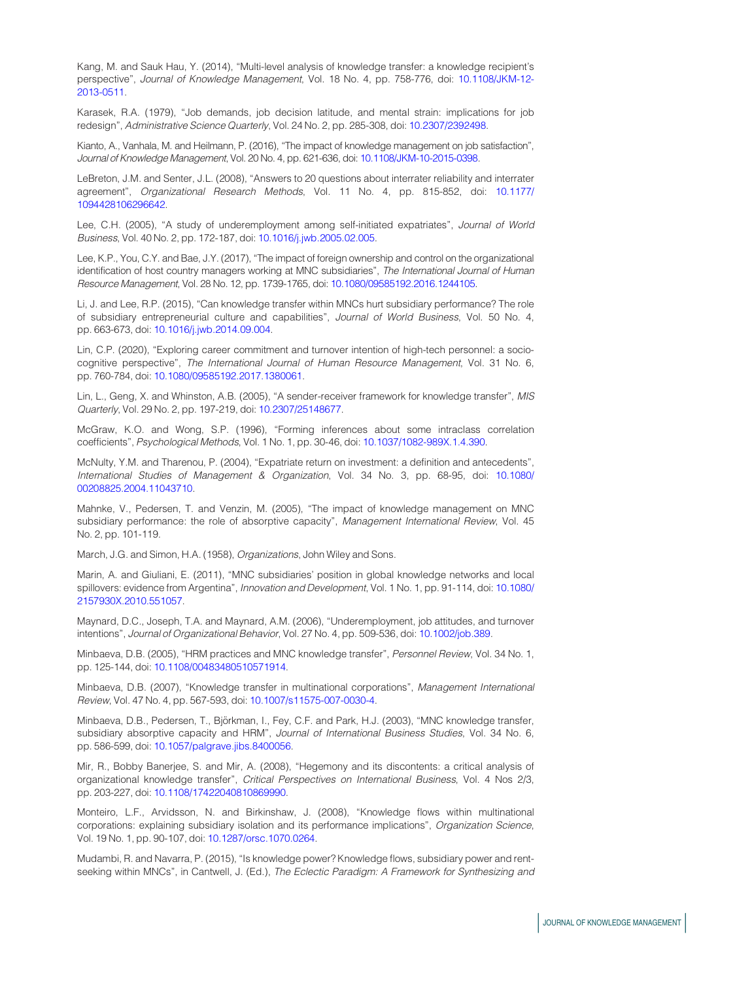<span id="page-18-3"></span>Kang, M. and Sauk Hau, Y. (2014), "Multi-level analysis of knowledge transfer: a knowledge recipient's perspective", Journal of Knowledge Management, Vol. 18 No. 4, pp. 758-776, doi: [10.1108/JKM-12-](http://dx.doi.org/10.1108/JKM-12-2013-0511) [2013-0511](http://dx.doi.org/10.1108/JKM-12-2013-0511).

<span id="page-18-11"></span>Karasek, R.A. (1979), "Job demands, job decision latitude, and mental strain: implications for job redesign", Administrative Science Quarterly, Vol. 24 No. 2, pp. 285-308, doi: [10.2307/2392498.](http://dx.doi.org/10.2307/2392498)

<span id="page-18-1"></span>Kianto, A., Vanhala, M. and Heilmann, P. (2016), "The impact of knowledge management on job satisfaction", Journal of Knowledge Management, Vol. 20 No. 4, pp. 621-636, doi: [10.1108/JKM-10-2015-0398](http://dx.doi.org/10.1108/JKM-10-2015-0398).

<span id="page-18-16"></span>LeBreton, J.M. and Senter, J.L. (2008), "Answers to 20 questions about interrater reliability and interrater agreement", Organizational Research Methods, Vol. 11 No. 4, pp. 815-852, doi: [10.1177/](http://dx.doi.org/10.1177/1094428106296642) [1094428106296642.](http://dx.doi.org/10.1177/1094428106296642)

<span id="page-18-13"></span>Lee, C.H. (2005), "A study of underemployment among self-initiated expatriates", Journal of World Business, Vol. 40 No. 2, pp. 172-187, doi: [10.1016/j.jwb.2005.02.005.](http://dx.doi.org/10.1016/j.jwb.2005.02.005)

<span id="page-18-17"></span>Lee, K.P., You, C.Y. and Bae, J.Y. (2017), "The impact of foreign ownership and control on the organizational identification of host country managers working at MNC subsidiaries", The International Journal of Human Resource Management, Vol. 28 No. 12, pp. 1739-1765, doi: [10.1080/09585192.2016.1244105](http://dx.doi.org/10.1080/09585192.2016.1244105).

<span id="page-18-12"></span>Li, J. and Lee, R.P. (2015), "Can knowledge transfer within MNCs hurt subsidiary performance? The role of subsidiary entrepreneurial culture and capabilities", Journal of World Business, Vol. 50 No. 4, pp. 663-673, doi: [10.1016/j.jwb.2014.09.004](http://dx.doi.org/10.1016/j.jwb.2014.09.004).

<span id="page-18-2"></span>Lin, C.P. (2020), "Exploring career commitment and turnover intention of high-tech personnel: a sociocognitive perspective", The International Journal of Human Resource Management, Vol. 31 No. 6, pp. 760-784, doi: [10.1080/09585192.2017.1380061](http://dx.doi.org/10.1080/09585192.2017.1380061).

<span id="page-18-6"></span>Lin, L., Geng, X. and Whinston, A.B. (2005), "A sender-receiver framework for knowledge transfer", MIS Quarterly, Vol. 29 No. 2, pp. 197-219, doi: [10.2307/25148677](http://dx.doi.org/10.2307/25148677).

<span id="page-18-15"></span>McGraw, K.O. and Wong, S.P. (1996), "Forming inferences about some intraclass correlation coefficients", Psychological Methods, Vol. 1 No. 1, pp. 30-46, doi: [10.1037/1082-989X.1.4.390](http://dx.doi.org/10.1037/1082-989X.1.4.390).

<span id="page-18-19"></span>McNulty, Y.M. and Tharenou, P. (2004), "Expatriate return on investment: a definition and antecedents", International Studies of Management & Organization, Vol. 34 No. 3, pp. 68-95, doi: [10.1080/](http://dx.doi.org/10.1080/00208825.2004.11043710) [00208825.2004.11043710](http://dx.doi.org/10.1080/00208825.2004.11043710).

<span id="page-18-8"></span>Mahnke, V., Pedersen, T. and Venzin, M. (2005), "The impact of knowledge management on MNC subsidiary performance: the role of absorptive capacity", Management International Review, Vol. 45 No. 2, pp. 101-119.

<span id="page-18-18"></span>March, J.G. and Simon, H.A. (1958), Organizations, John Wiley and Sons.

<span id="page-18-10"></span>Marin, A. and Giuliani, E. (2011), "MNC subsidiaries' position in global knowledge networks and local spillovers: evidence from Argentina", Innovation and Development, Vol. 1 No. 1, pp. 91-114, doi: [10.1080/](http://dx.doi.org/10.1080/2157930X.2010.551057) [2157930X.2010.551057](http://dx.doi.org/10.1080/2157930X.2010.551057).

<span id="page-18-14"></span>Maynard, D.C., Joseph, T.A. and Maynard, A.M. (2006), "Underemployment, job attitudes, and turnover intentions", Journal of Organizational Behavior, Vol. 27 No. 4, pp. 509-536, doi: [10.1002/job.389](http://dx.doi.org/10.1002/job.389).

<span id="page-18-4"></span>Minbaeva, D.B. (2005), "HRM practices and MNC knowledge transfer", Personnel Review, Vol. 34 No. 1, pp. 125-144, doi: [10.1108/00483480510571914](http://dx.doi.org/10.1108/00483480510571914).

<span id="page-18-0"></span>Minbaeva, D.B. (2007), "Knowledge transfer in multinational corporations", Management International Review, Vol. 47 No. 4, pp. 567-593, doi: [10.1007/s11575-007-0030-4.](http://dx.doi.org/10.1007/s11575-007-0030-4)

<span id="page-18-7"></span>Minbaeva, D.B., Pedersen, T., Björkman, I., Fey, C.F. and Park, H.J. (2003), "MNC knowledge transfer, subsidiary absorptive capacity and HRM", Journal of International Business Studies, Vol. 34 No. 6, pp. 586-599, doi: [10.1057/palgrave.jibs.8400056](http://dx.doi.org/10.1057/palgrave.jibs.8400056).

<span id="page-18-20"></span>Mir, R., Bobby Banerjee, S. and Mir, A. (2008), "Hegemony and its discontents: a critical analysis of organizational knowledge transfer", Critical Perspectives on International Business, Vol. 4 Nos 2/3, pp. 203-227, doi: [10.1108/17422040810869990](http://dx.doi.org/10.1108/17422040810869990).

<span id="page-18-9"></span>Monteiro, L.F., Arvidsson, N. and Birkinshaw, J. (2008), "Knowledge flows within multinational corporations: explaining subsidiary isolation and its performance implications", Organization Science, Vol. 19 No. 1, pp. 90-107, doi: [10.1287/orsc.1070.0264](http://dx.doi.org/10.1287/orsc.1070.0264).

<span id="page-18-5"></span>Mudambi, R. and Navarra, P. (2015), "Is knowledge power? Knowledge flows, subsidiary power and rentseeking within MNCs", in Cantwell, J. (Ed.), The Eclectic Paradigm: A Framework for Synthesizing and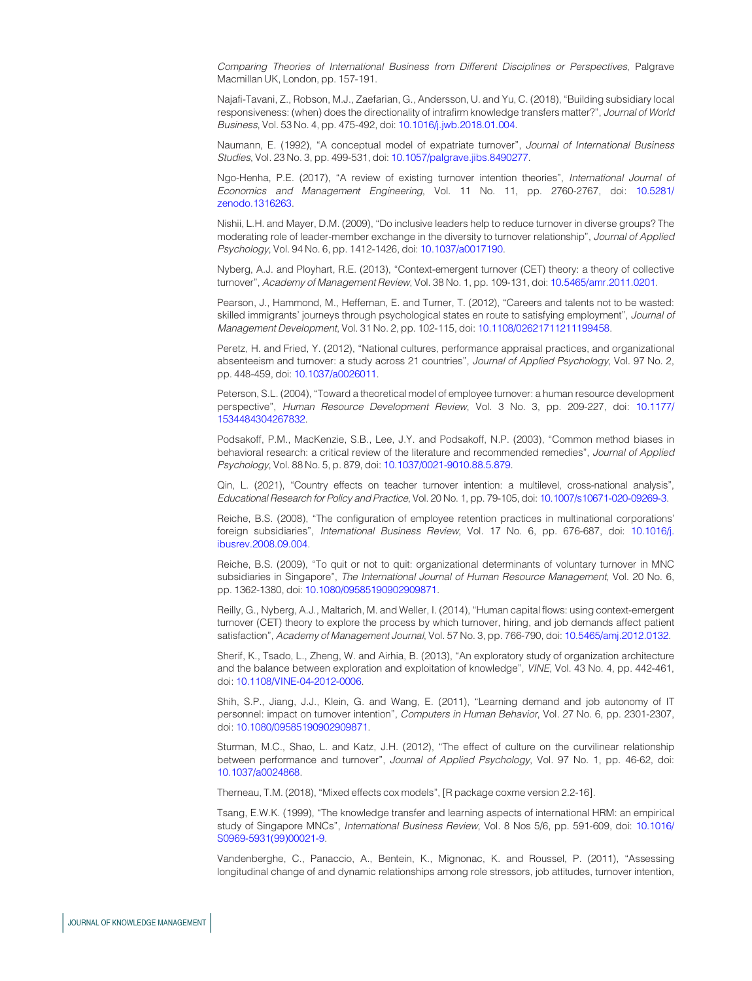Comparing Theories of International Business from Different Disciplines or Perspectives, Palgrave Macmillan UK, London, pp. 157-191.

<span id="page-19-2"></span>Najafi-Tavani, Z., Robson, M.J., Zaefarian, G., Andersson, U. and Yu, C. (2018), "Building subsidiary local responsiveness: (when) does the directionality of intrafirm knowledge transfers matter?", Journal of World Business, Vol. 53 No. 4, pp. 475-492, doi: [10.1016/j.jwb.2018.01.004.](http://dx.doi.org/10.1016/j.jwb.2018.01.004)

<span id="page-19-8"></span>Naumann, E. (1992), "A conceptual model of expatriate turnover", Journal of International Business Studies, Vol. 23 No. 3, pp. 499-531, doi: [10.1057/palgrave.jibs.8490277](http://dx.doi.org/10.1057/palgrave.jibs.8490277).

<span id="page-19-17"></span>Ngo-Henha, P.E. (2017), "A review of existing turnover intention theories", International Journal of Economics and Management Engineering, Vol. 11 No. 11, pp. 2760-2767, doi: [10.5281/](http://dx.doi.org/10.5281/zenodo.1316263) [zenodo.1316263.](http://dx.doi.org/10.5281/zenodo.1316263)

<span id="page-19-9"></span>Nishii, L.H. and Mayer, D.M. (2009), "Do inclusive leaders help to reduce turnover in diverse groups? The moderating role of leader-member exchange in the diversity to turnover relationship", Journal of Applied Psychology, Vol. 94 No. 6, pp. 1412-1426, doi: [10.1037/a0017190](http://dx.doi.org/10.1037/a0017190).

<span id="page-19-0"></span>Nyberg, A.J. and Ployhart, R.E. (2013), "Context-emergent turnover (CET) theory: a theory of collective turnover", Academy of Management Review, Vol. 38 No. 1, pp. 109-131, doi: [10.5465/amr.2011.0201](http://dx.doi.org/10.5465/amr.2011.0201).

<span id="page-19-12"></span>Pearson, J., Hammond, M., Heffernan, E. and Turner, T. (2012), "Careers and talents not to be wasted: skilled immigrants' journeys through psychological states en route to satisfying employment", Journal of Management Development, Vol. 31 No. 2, pp. 102-115, doi: [10.1108/02621711211199458.](http://dx.doi.org/10.1108/02621711211199458)

<span id="page-19-7"></span>Peretz, H. and Fried, Y. (2012), "National cultures, performance appraisal practices, and organizational absenteeism and turnover: a study across 21 countries", Journal of Applied Psychology, Vol. 97 No. 2, pp. 448-459, doi: [10.1037/a0026011](http://dx.doi.org/10.1037/a0026011).

<span id="page-19-5"></span>Peterson, S.L. (2004), "Toward a theoretical model of employee turnover: a human resource development perspective", Human Resource Development Review, Vol. 3 No. 3, pp. 209-227, doi: [10.1177/](http://dx.doi.org/10.1177/1534484304267832) [1534484304267832.](http://dx.doi.org/10.1177/1534484304267832)

<span id="page-19-13"></span>Podsakoff, P.M., MacKenzie, S.B., Lee, J.Y. and Podsakoff, N.P. (2003), "Common method biases in behavioral research: a critical review of the literature and recommended remedies", Journal of Applied Psychology, Vol. 88 No. 5, p. 879, doi: [10.1037/0021-9010.88.5.879](http://dx.doi.org/10.1037/0021-9010.88.5.879).

<span id="page-19-1"></span>Qin, L. (2021), "Country effects on teacher turnover intention: a multilevel, cross-national analysis", Educational Research for Policy and Practice, Vol. 20 No. 1, pp. 79-105, doi: [10.1007/s10671-020-09269-3.](http://dx.doi.org/10.1007/s10671-020-09269-3)

<span id="page-19-3"></span>Reiche, B.S. (2008), "The configuration of employee retention practices in multinational corporations' foreign subsidiaries", International Business Review, Vol. 17 No. 6, pp. 676-687, doi: [10.1016/j.](http://dx.doi.org/10.1016/j.ibusrev.2008.09.004) [ibusrev.2008.09.004](http://dx.doi.org/10.1016/j.ibusrev.2008.09.004).

<span id="page-19-4"></span>Reiche, B.S. (2009), "To quit or not to quit: organizational determinants of voluntary turnover in MNC subsidiaries in Singapore", The International Journal of Human Resource Management, Vol. 20 No. 6, pp. 1362-1380, doi: [10.1080/09585190902909871.](http://dx.doi.org/10.1080/09585190902909871)

<span id="page-19-6"></span>Reilly, G., Nyberg, A.J., Maltarich, M. and Weller, I. (2014), "Human capital flows: using context-emergent turnover (CET) theory to explore the process by which turnover, hiring, and job demands affect patient satisfaction", Academy of Management Journal, Vol. 57 No. 3, pp. 766-790, doi: [10.5465/amj.2012.0132](http://dx.doi.org/10.5465/amj.2012.0132).

<span id="page-19-16"></span>Sherif, K., Tsado, L., Zheng, W. and Airhia, B. (2013), "An exploratory study of organization architecture and the balance between exploration and exploitation of knowledge", VINE, Vol. 43 No. 4, pp. 442-461, doi: [10.1108/VINE-04-2012-0006](http://dx.doi.org/10.1108/VINE-04-2012-0006).

<span id="page-19-10"></span>Shih, S.P., Jiang, J.J., Klein, G. and Wang, E. (2011), "Learning demand and job autonomy of IT personnel: impact on turnover intention", Computers in Human Behavior, Vol. 27 No. 6, pp. 2301-2307, doi: [10.1080/09585190902909871](http://dx.doi.org/10.1080/09585190902909871).

<span id="page-19-14"></span>Sturman, M.C., Shao, L. and Katz, J.H. (2012), "The effect of culture on the curvilinear relationship between performance and turnover", Journal of Applied Psychology, Vol. 97 No. 1, pp. 46-62, doi: [10.1037/a0024868](http://dx.doi.org/10.1037/a0024868).

<span id="page-19-15"></span>Therneau, T.M. (2018), "Mixed effects cox models", [R package coxme version 2.2-16].

<span id="page-19-18"></span>Tsang, E.W.K. (1999), "The knowledge transfer and learning aspects of international HRM: an empirical study of Singapore MNCs", International Business Review, Vol. 8 Nos 5/6, pp. 591-609, doi: [10.1016/](http://dx.doi.org/10.1016/S0969-5931(99)00021-9) [S0969-5931\(99\)00021-9.](http://dx.doi.org/10.1016/S0969-5931(99)00021-9)

<span id="page-19-11"></span>Vandenberghe, C., Panaccio, A., Bentein, K., Mignonac, K. and Roussel, P. (2011), "Assessing longitudinal change of and dynamic relationships among role stressors, job attitudes, turnover intention,